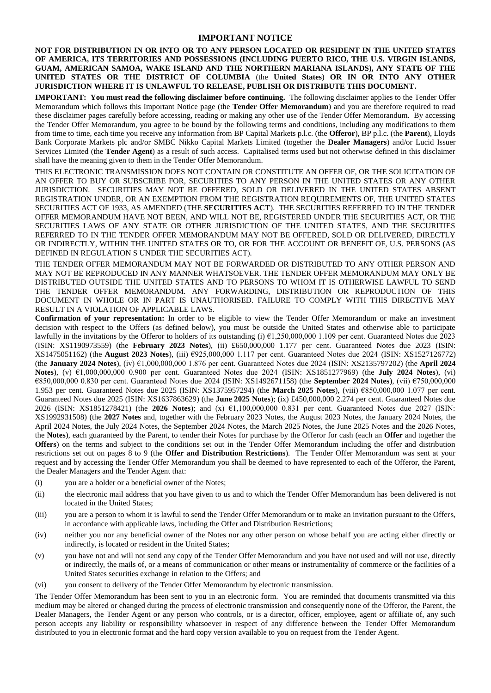## **IMPORTANT NOTICE**

**NOT FOR DISTRIBUTION IN OR INTO OR TO ANY PERSON LOCATED OR RESIDENT IN THE UNITED STATES OF AMERICA, ITS TERRITORIES AND POSSESSIONS (INCLUDING PUERTO RICO, THE U.S. VIRGIN ISLANDS, GUAM, AMERICAN SAMOA, WAKE ISLAND AND THE NORTHERN MARIANA ISLANDS), ANY STATE OF THE UNITED STATES OR THE DISTRICT OF COLUMBIA** (the **United States**) **OR IN OR INTO ANY OTHER JURISDICTION WHERE IT IS UNLAWFUL TO RELEASE, PUBLISH OR DISTRIBUTE THIS DOCUMENT.**

**IMPORTANT: You must read the following disclaimer before continuing.** The following disclaimer applies to the Tender Offer Memorandum which follows this Important Notice page (the **Tender Offer Memorandum**) and you are therefore required to read these disclaimer pages carefully before accessing, reading or making any other use of the Tender Offer Memorandum. By accessing the Tender Offer Memorandum, you agree to be bound by the following terms and conditions, including any modifications to them from time to time, each time you receive any information from BP Capital Markets p.l.c. (the **Offeror**), BP p.l.c. (the **Parent**), Lloyds Bank Corporate Markets plc and/or SMBC Nikko Capital Markets Limited (together the **Dealer Managers**) and/or Lucid Issuer Services Limited (the **Tender Agent**) as a result of such access. Capitalised terms used but not otherwise defined in this disclaimer shall have the meaning given to them in the Tender Offer Memorandum.

THIS ELECTRONIC TRANSMISSION DOES NOT CONTAIN OR CONSTITUTE AN OFFER OF, OR THE SOLICITATION OF AN OFFER TO BUY OR SUBSCRIBE FOR, SECURITIES TO ANY PERSON IN THE UNITED STATES OR ANY OTHER JURISDICTION. SECURITIES MAY NOT BE OFFERED, SOLD OR DELIVERED IN THE UNITED STATES ABSENT REGISTRATION UNDER, OR AN EXEMPTION FROM THE REGISTRATION REQUIREMENTS OF, THE UNITED STATES SECURITIES ACT OF 1933, AS AMENDED (THE **SECURITIES ACT**). THE SECURITIES REFERRED TO IN THE TENDER OFFER MEMORANDUM HAVE NOT BEEN, AND WILL NOT BE, REGISTERED UNDER THE SECURITIES ACT, OR THE SECURITIES LAWS OF ANY STATE OR OTHER JURISDICTION OF THE UNITED STATES, AND THE SECURITIES REFERRED TO IN THE TENDER OFFER MEMORANDUM MAY NOT BE OFFERED, SOLD OR DELIVERED, DIRECTLY OR INDIRECTLY, WITHIN THE UNITED STATES OR TO, OR FOR THE ACCOUNT OR BENEFIT OF, U.S. PERSONS (AS DEFINED IN REGULATION S UNDER THE SECURITIES ACT).

THE TENDER OFFER MEMORANDUM MAY NOT BE FORWARDED OR DISTRIBUTED TO ANY OTHER PERSON AND MAY NOT BE REPRODUCED IN ANY MANNER WHATSOEVER. THE TENDER OFFER MEMORANDUM MAY ONLY BE DISTRIBUTED OUTSIDE THE UNITED STATES AND TO PERSONS TO WHOM IT IS OTHERWISE LAWFUL TO SEND THE TENDER OFFER MEMORANDUM. ANY FORWARDING, DISTRIBUTION OR REPRODUCTION OF THIS DOCUMENT IN WHOLE OR IN PART IS UNAUTHORISED. FAILURE TO COMPLY WITH THIS DIRECTIVE MAY RESULT IN A VIOLATION OF APPLICABLE LAWS.

**Confirmation of your representation:** In order to be eligible to view the Tender Offer Memorandum or make an investment decision with respect to the Offers (as defined below), you must be outside the United States and otherwise able to participate lawfully in the invitations by the Offeror to holders of its outstanding (i) €1,250,000,000 1.109 per cent. Guaranteed Notes due 2023 (ISIN: XS1190973559) (the **February 2023 Notes**), (ii) £650,000,000 1.177 per cent. Guaranteed Notes due 2023 (ISIN: XS1475051162) (the **August 2023 Notes**), (iii) €925,000,000 1.117 per cent. Guaranteed Notes due 2024 (ISIN: XS1527126772) (the **January 2024 Notes**), (iv) €1,000,000,000 1.876 per cent. Guaranteed Notes due 2024 (ISIN: XS2135797202) (the **April 2024 Notes**), (v) €1,000,000,000 0.900 per cent. Guaranteed Notes due 2024 (ISIN: XS1851277969) (the **July 2024 Notes**), (vi) €850,000,000 0.830 per cent. Guaranteed Notes due 2024 (ISIN: XS1492671158) (the **September 2024 Notes**), (vii) €750,000,000 1.953 per cent. Guaranteed Notes due 2025 (ISIN: XS1375957294) (the **March 2025 Notes**), (viii) €850,000,000 1.077 per cent. Guaranteed Notes due 2025 (ISIN: XS1637863629) (the **June 2025 Notes**); (ix) £450,000,000 2.274 per cent. Guaranteed Notes due 2026 (ISIN: XS1851278421) (the **2026 Notes**); and (x) €1,100,000,000 0.831 per cent. Guaranteed Notes due 2027 (ISIN: XS1992931508) (the **2027 Notes** and, together with the February 2023 Notes, the August 2023 Notes, the January 2024 Notes, the April 2024 Notes, the July 2024 Notes, the September 2024 Notes, the March 2025 Notes, the June 2025 Notes and the 2026 Notes, the **Notes**), each guaranteed by the Parent, to tender their Notes for purchase by the Offeror for cash (each an **Offer** and together the **Offers**) on the terms and subject to the conditions set out in the Tender Offer Memorandum including the offer and distribution restrictions set out on pages 8 to 9 (the **Offer and Distribution Restrictions**). The Tender Offer Memorandum was sent at your request and by accessing the Tender Offer Memorandum you shall be deemed to have represented to each of the Offeror, the Parent, the Dealer Managers and the Tender Agent that:

- (i) you are a holder or a beneficial owner of the Notes;
- (ii) the electronic mail address that you have given to us and to which the Tender Offer Memorandum has been delivered is not located in the United States;
- (iii) you are a person to whom it is lawful to send the Tender Offer Memorandum or to make an invitation pursuant to the Offers, in accordance with applicable laws, including the Offer and Distribution Restrictions;
- (iv) neither you nor any beneficial owner of the Notes nor any other person on whose behalf you are acting either directly or indirectly, is located or resident in the United States;
- (v) you have not and will not send any copy of the Tender Offer Memorandum and you have not used and will not use, directly or indirectly, the mails of, or a means of communication or other means or instrumentality of commerce or the facilities of a United States securities exchange in relation to the Offers; and
- (vi) you consent to delivery of the Tender Offer Memorandum by electronic transmission.

The Tender Offer Memorandum has been sent to you in an electronic form. You are reminded that documents transmitted via this medium may be altered or changed during the process of electronic transmission and consequently none of the Offeror, the Parent, the Dealer Managers, the Tender Agent or any person who controls, or is a director, officer, employee, agent or affiliate of, any such person accepts any liability or responsibility whatsoever in respect of any difference between the Tender Offer Memorandum distributed to you in electronic format and the hard copy version available to you on request from the Tender Agent.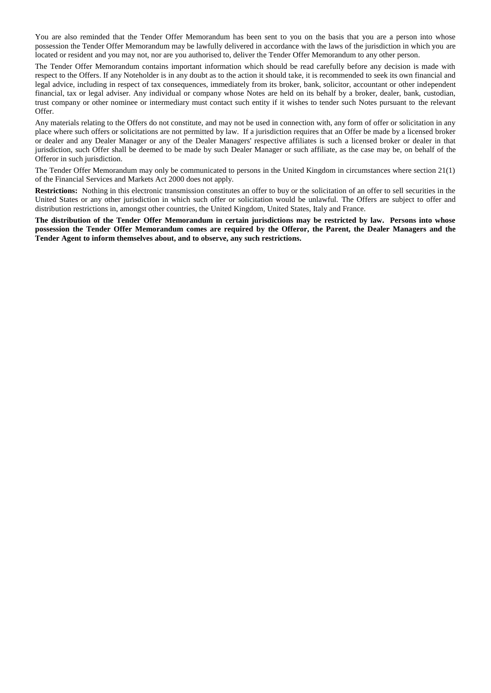You are also reminded that the Tender Offer Memorandum has been sent to you on the basis that you are a person into whose possession the Tender Offer Memorandum may be lawfully delivered in accordance with the laws of the jurisdiction in which you are located or resident and you may not, nor are you authorised to, deliver the Tender Offer Memorandum to any other person.

The Tender Offer Memorandum contains important information which should be read carefully before any decision is made with respect to the Offers. If any Noteholder is in any doubt as to the action it should take, it is recommended to seek its own financial and legal advice, including in respect of tax consequences, immediately from its broker, bank, solicitor, accountant or other independent financial, tax or legal adviser. Any individual or company whose Notes are held on its behalf by a broker, dealer, bank, custodian, trust company or other nominee or intermediary must contact such entity if it wishes to tender such Notes pursuant to the relevant Offer.

Any materials relating to the Offers do not constitute, and may not be used in connection with, any form of offer or solicitation in any place where such offers or solicitations are not permitted by law. If a jurisdiction requires that an Offer be made by a licensed broker or dealer and any Dealer Manager or any of the Dealer Managers' respective affiliates is such a licensed broker or dealer in that jurisdiction, such Offer shall be deemed to be made by such Dealer Manager or such affiliate, as the case may be, on behalf of the Offeror in such jurisdiction.

The Tender Offer Memorandum may only be communicated to persons in the United Kingdom in circumstances where section 21(1) of the Financial Services and Markets Act 2000 does not apply.

**Restrictions:** Nothing in this electronic transmission constitutes an offer to buy or the solicitation of an offer to sell securities in the United States or any other jurisdiction in which such offer or solicitation would be unlawful. The Offers are subject to offer and distribution restrictions in, amongst other countries, the United Kingdom, United States, Italy and France.

**The distribution of the Tender Offer Memorandum in certain jurisdictions may be restricted by law. Persons into whose possession the Tender Offer Memorandum comes are required by the Offeror, the Parent, the Dealer Managers and the Tender Agent to inform themselves about, and to observe, any such restrictions.**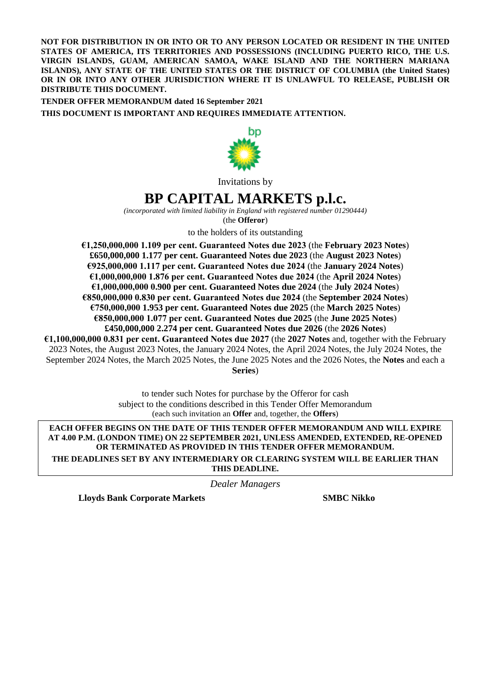**NOT FOR DISTRIBUTION IN OR INTO OR TO ANY PERSON LOCATED OR RESIDENT IN THE UNITED STATES OF AMERICA, ITS TERRITORIES AND POSSESSIONS (INCLUDING PUERTO RICO, THE U.S. VIRGIN ISLANDS, GUAM, AMERICAN SAMOA, WAKE ISLAND AND THE NORTHERN MARIANA ISLANDS), ANY STATE OF THE UNITED STATES OR THE DISTRICT OF COLUMBIA (the United States) OR IN OR INTO ANY OTHER JURISDICTION WHERE IT IS UNLAWFUL TO RELEASE, PUBLISH OR DISTRIBUTE THIS DOCUMENT.**

**TENDER OFFER MEMORANDUM dated 16 September 2021 THIS DOCUMENT IS IMPORTANT AND REQUIRES IMMEDIATE ATTENTION.**



Invitations by

# **BP CAPITAL MARKETS p.l.c.**

*(incorporated with limited liability in England with registered number 01290444)*

(the **Offeror**)

to the holders of its outstanding

**€1,250,000,000 1.109 per cent. Guaranteed Notes due 2023** (the **February 2023 Notes**) **£650,000,000 1.177 per cent. Guaranteed Notes due 2023** (the **August 2023 Notes**) **€925,000,000 1.117 per cent. Guaranteed Notes due 2024** (the **January 2024 Notes**) **€1,000,000,000 1.876 per cent. Guaranteed Notes due 2024** (the **April 2024 Notes**) **€1,000,000,000 0.900 per cent. Guaranteed Notes due 2024** (the **July 2024 Notes**) **€850,000,000 0.830 per cent. Guaranteed Notes due 2024** (the **September 2024 Notes**) **€750,000,000 1.953 per cent. Guaranteed Notes due 2025** (the **March 2025 Notes**) **€850,000,000 1.077 per cent. Guaranteed Notes due 2025** (the **June 2025 Notes**) **£450,000,000 2.274 per cent. Guaranteed Notes due 2026** (the **2026 Notes**) **€1,100,000,000 0.831 per cent. Guaranteed Notes due 2027** (the **2027 Notes** and, together with the February

2023 Notes, the August 2023 Notes, the January 2024 Notes, the April 2024 Notes, the July 2024 Notes, the September 2024 Notes, the March 2025 Notes, the June 2025 Notes and the 2026 Notes, the **Notes** and each a **Series**)

> to tender such Notes for purchase by the Offeror for cash subject to the conditions described in this Tender Offer Memorandum (each such invitation an **Offer** and, together, the **Offers**)

**EACH OFFER BEGINS ON THE DATE OF THIS TENDER OFFER MEMORANDUM AND WILL EXPIRE AT 4.00 P.M. (LONDON TIME) ON 22 SEPTEMBER 2021, UNLESS AMENDED, EXTENDED, RE-OPENED OR TERMINATED AS PROVIDED IN THIS TENDER OFFER MEMORANDUM. THE DEADLINES SET BY ANY INTERMEDIARY OR CLEARING SYSTEM WILL BE EARLIER THAN THIS DEADLINE.**

*Dealer Managers*

**Lloyds Bank Corporate Markets SMBC Nikko**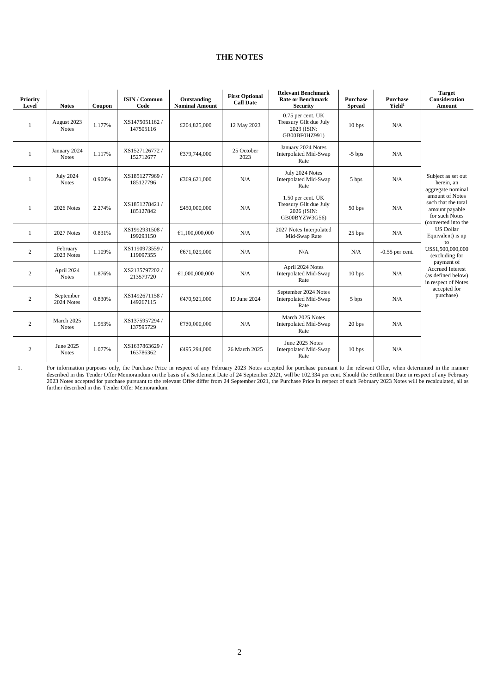# **THE NOTES**

| Priority<br>Level | <b>Notes</b>                     | Coupon | <b>ISIN / Common</b><br>Code | Outstanding<br><b>Nominal Amount</b> | <b>First Optional</b><br><b>Call Date</b> | <b>Relevant Benchmark</b><br><b>Rate or Benchmark</b><br><b>Security</b>      | <b>Purchase</b><br><b>Spread</b> | <b>Purchase</b><br>Yield <sup>1</sup> | <b>Target</b><br><b>Consideration</b><br><b>Amount</b>                                            |
|-------------------|----------------------------------|--------|------------------------------|--------------------------------------|-------------------------------------------|-------------------------------------------------------------------------------|----------------------------------|---------------------------------------|---------------------------------------------------------------------------------------------------|
|                   | August 2023<br><b>Notes</b>      | 1.177% | XS1475051162/<br>147505116   | £204,825,000                         | 12 May 2023                               | $0.75$ per cent. UK<br>Treasury Gilt due July<br>2023 (ISIN:<br>GB00BF0HZ991) | 10 <sub>bps</sub>                | N/A                                   |                                                                                                   |
|                   | January 2024<br><b>Notes</b>     | 1.117% | XS1527126772/<br>152712677   | €379,744,000                         | 25 October<br>2023                        | January 2024 Notes<br>Interpolated Mid-Swap<br>Rate                           | $-5$ bps                         | N/A                                   |                                                                                                   |
| -1                | <b>July 2024</b><br><b>Notes</b> | 0.900% | XS1851277969 /<br>185127796  | €369,621,000                         | N/A                                       | July 2024 Notes<br>Interpolated Mid-Swap<br>Rate                              | 5 bps                            | N/A                                   | Subject as set out<br>herein, an<br>aggregate nominal                                             |
| $\overline{1}$    | 2026 Notes                       | 2.274% | XS1851278421 /<br>185127842  | £450,000,000                         | N/A                                       | 1.50 per cent. UK<br>Treasury Gilt due July<br>2026 (ISIN:<br>GB00BYZW3G56)   | 50 bps                           | N/A                                   | amount of Notes<br>such that the total<br>amount payable<br>for such Notes<br>(converted into the |
|                   | 2027 Notes                       | 0.831% | XS1992931508/<br>199293150   | €1,100,000,000                       | N/A                                       | 2027 Notes Interpolated<br>Mid-Swap Rate                                      | 25 bps                           | N/A                                   | <b>US</b> Dollar<br>Equivalent) is up<br>to                                                       |
| 2                 | February<br>2023 Notes           | 1.109% | XS1190973559/<br>119097355   | €671,029,000                         | N/A                                       | N/A                                                                           | N/A                              | $-0.55$ per cent.                     | US\$1,500,000,000<br>(excluding for                                                               |
| 2                 | April 2024<br><b>Notes</b>       | 1.876% | XS2135797202 /<br>213579720  | €1,000,000,000                       | N/A                                       | April 2024 Notes<br>Interpolated Mid-Swap<br>Rate                             | 10 <sub>bps</sub>                | N/A                                   | payment of<br><b>Accrued Interest</b><br>(as defined below)<br>in respect of Notes                |
| 2                 | September<br>2024 Notes          | 0.830% | XS1492671158/<br>149267115   | €470,921,000                         | 19 June 2024                              | September 2024 Notes<br>Interpolated Mid-Swap<br>Rate                         | 5 bps                            | N/A                                   | accepted for<br>purchase)                                                                         |
| 2                 | March 2025<br><b>Notes</b>       | 1.953% | XS1375957294 /<br>137595729  | €750,000,000                         | N/A                                       | March 2025 Notes<br>Interpolated Mid-Swap<br>Rate                             | 20 bps                           | N/A                                   |                                                                                                   |
| 2                 | June 2025<br><b>Notes</b>        | 1.077% | XS1637863629 /<br>163786362  | €495,294,000                         | 26 March 2025                             | June 2025 Notes<br>Interpolated Mid-Swap<br>Rate                              | 10 <sub>bps</sub>                | N/A                                   |                                                                                                   |

1. For information purposes only, the Purchase Price in respect of any February 2023 Notes accepted for purchase pursuant to the relevant Offer, when determined in the manner described in this Tender Offer Memorandum on the basis of a Settlement Date of 24 September 2021, will be 102.334 per cent. Should the Settlement Date in respect of any February 2023 Notes accepted for purchase pursuant to the relevant Offer differ from 24 September 2021, the Purchase Price in respect of such February 2023 Notes will be recalculated, all as further described in this Tender Offer Memorandum.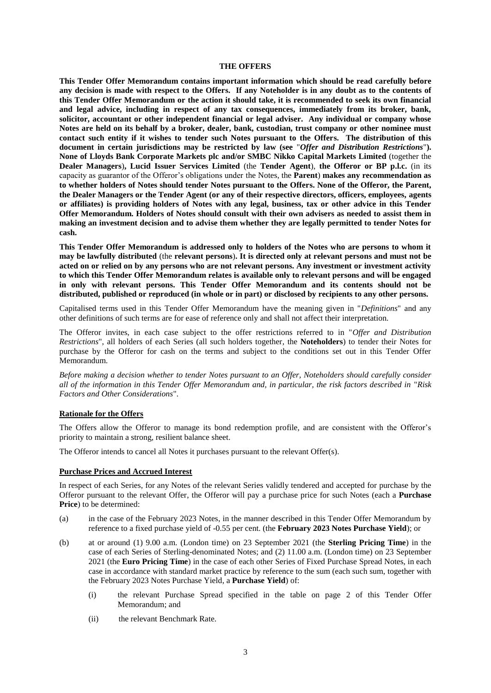#### **THE OFFERS**

**This Tender Offer Memorandum contains important information which should be read carefully before any decision is made with respect to the Offers. If any Noteholder is in any doubt as to the contents of this Tender Offer Memorandum or the action it should take, it is recommended to seek its own financial and legal advice, including in respect of any tax consequences, immediately from its broker, bank, solicitor, accountant or other independent financial or legal adviser. Any individual or company whose Notes are held on its behalf by a broker, dealer, bank, custodian, trust company or other nominee must contact such entity if it wishes to tender such Notes pursuant to the Offers. The distribution of this document in certain jurisdictions may be restricted by law (see** "*Offer and Distribution Restrictions*"**). None of Lloyds Bank Corporate Markets plc and/or SMBC Nikko Capital Markets Limited** (together the **Dealer Managers**)**, Lucid Issuer Services Limited** (the **Tender Agent**), **the Offeror or BP p.l.c.** (in its capacity as guarantor of the Offeror's obligations under the Notes, the **Parent**) **makes any recommendation as to whether holders of Notes should tender Notes pursuant to the Offers. None of the Offeror, the Parent, the Dealer Managers or the Tender Agent (or any of their respective directors, officers, employees, agents or affiliates) is providing holders of Notes with any legal, business, tax or other advice in this Tender Offer Memorandum. Holders of Notes should consult with their own advisers as needed to assist them in making an investment decision and to advise them whether they are legally permitted to tender Notes for cash.**

**This Tender Offer Memorandum is addressed only to holders of the Notes who are persons to whom it may be lawfully distributed** (the **relevant persons**)**. It is directed only at relevant persons and must not be acted on or relied on by any persons who are not relevant persons. Any investment or investment activity to which this Tender Offer Memorandum relates is available only to relevant persons and will be engaged in only with relevant persons. This Tender Offer Memorandum and its contents should not be distributed, published or reproduced (in whole or in part) or disclosed by recipients to any other persons.**

Capitalised terms used in this Tender Offer Memorandum have the meaning given in "*Definitions*" and any other definitions of such terms are for ease of reference only and shall not affect their interpretation.

The Offeror invites, in each case subject to the offer restrictions referred to in "*Offer and Distribution Restrictions*", all holders of each Series (all such holders together, the **Noteholders**) to tender their Notes for purchase by the Offeror for cash on the terms and subject to the conditions set out in this Tender Offer Memorandum.

*Before making a decision whether to tender Notes pursuant to an Offer, Noteholders should carefully consider all of the information in this Tender Offer Memorandum and, in particular, the risk factors described in* "*Risk Factors and Other Considerations*"*.*

#### **Rationale for the Offers**

The Offers allow the Offeror to manage its bond redemption profile, and are consistent with the Offeror's priority to maintain a strong, resilient balance sheet.

The Offeror intends to cancel all Notes it purchases pursuant to the relevant Offer(s).

#### **Purchase Prices and Accrued Interest**

In respect of each Series, for any Notes of the relevant Series validly tendered and accepted for purchase by the Offeror pursuant to the relevant Offer, the Offeror will pay a purchase price for such Notes (each a **Purchase Price**) to be determined:

- (a) in the case of the February 2023 Notes, in the manner described in this Tender Offer Memorandum by reference to a fixed purchase yield of -0.55 per cent. (the **February 2023 Notes Purchase Yield**); or
- (b) at or around (1) 9.00 a.m. (London time) on 23 September 2021 (the **Sterling Pricing Time**) in the case of each Series of Sterling-denominated Notes; and (2) 11.00 a.m. (London time) on 23 September 2021 (the **Euro Pricing Time**) in the case of each other Series of Fixed Purchase Spread Notes, in each case in accordance with standard market practice by reference to the sum (each such sum, together with the February 2023 Notes Purchase Yield, a **Purchase Yield**) of:
	- (i) the relevant Purchase Spread specified in the table on page 2 of this Tender Offer Memorandum; and
	- (ii) the relevant Benchmark Rate.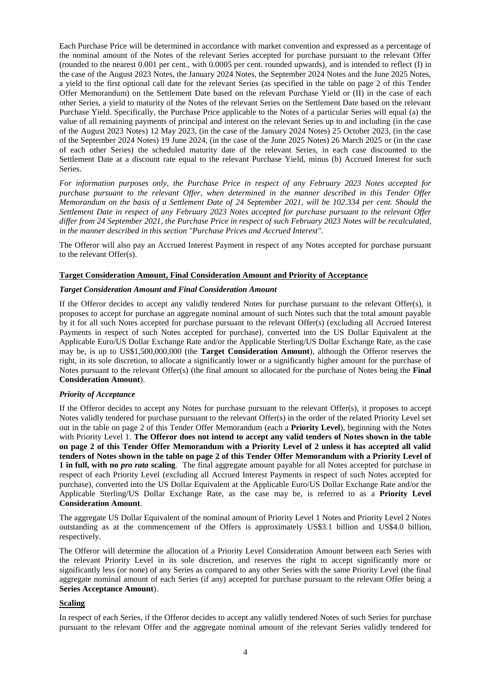Each Purchase Price will be determined in accordance with market convention and expressed as a percentage of the nominal amount of the Notes of the relevant Series accepted for purchase pursuant to the relevant Offer (rounded to the nearest 0.001 per cent., with 0.0005 per cent. rounded upwards), and is intended to reflect (I) in the case of the August 2023 Notes, the January 2024 Notes, the September 2024 Notes and the June 2025 Notes, a yield to the first optional call date for the relevant Series (as specified in the table on page 2 of this Tender Offer Memorandum) on the Settlement Date based on the relevant Purchase Yield or (II) in the case of each other Series, a yield to maturity of the Notes of the relevant Series on the Settlement Date based on the relevant Purchase Yield. Specifically, the Purchase Price applicable to the Notes of a particular Series will equal (a) the value of all remaining payments of principal and interest on the relevant Series up to and including (in the case of the August 2023 Notes) 12 May 2023, (in the case of the January 2024 Notes) 25 October 2023, (in the case of the September 2024 Notes) 19 June 2024, (in the case of the June 2025 Notes) 26 March 2025 or (in the case of each other Series) the scheduled maturity date of the relevant Series, in each case discounted to the Settlement Date at a discount rate equal to the relevant Purchase Yield, minus (b) Accrued Interest for such Series.

*For information purposes only, the Purchase Price in respect of any February 2023 Notes accepted for purchase pursuant to the relevant Offer, when determined in the manner described in this Tender Offer Memorandum on the basis of a Settlement Date of 24 September 2021, will be 102.334 per cent. Should the Settlement Date in respect of any February 2023 Notes accepted for purchase pursuant to the relevant Offer differ from 24 September 2021, the Purchase Price in respect of such February 2023 Notes will be recalculated, in the manner described in this section "Purchase Prices and Accrued Interest".*

The Offeror will also pay an Accrued Interest Payment in respect of any Notes accepted for purchase pursuant to the relevant Offer(s).

## **Target Consideration Amount, Final Consideration Amount and Priority of Acceptance**

#### *Target Consideration Amount and Final Consideration Amount*

If the Offeror decides to accept any validly tendered Notes for purchase pursuant to the relevant Offer(s), it proposes to accept for purchase an aggregate nominal amount of such Notes such that the total amount payable by it for all such Notes accepted for purchase pursuant to the relevant Offer(s) (excluding all Accrued Interest Payments in respect of such Notes accepted for purchase), converted into the US Dollar Equivalent at the Applicable Euro/US Dollar Exchange Rate and/or the Applicable Sterling/US Dollar Exchange Rate, as the case may be, is up to US\$1,500,000,000 (the **Target Consideration Amount**), although the Offeror reserves the right, in its sole discretion, to allocate a significantly lower or a significantly higher amount for the purchase of Notes pursuant to the relevant Offer(s) (the final amount so allocated for the purchase of Notes being the **Final Consideration Amount**).

#### *Priority of Acceptance*

If the Offeror decides to accept any Notes for purchase pursuant to the relevant Offer(s), it proposes to accept Notes validly tendered for purchase pursuant to the relevant Offer(s) in the order of the related Priority Level set out in the table on page 2 of this Tender Offer Memorandum (each a **Priority Level**), beginning with the Notes with Priority Level 1. **The Offeror does not intend to accept any valid tenders of Notes shown in the table on page 2 of this Tender Offer Memorandum with a Priority Level of 2 unless it has accepted all valid tenders of Notes shown in the table on page 2 of this Tender Offer Memorandum with a Priority Level of 1 in full, with no** *pro rata* **scaling**. The final aggregate amount payable for all Notes accepted for purchase in respect of each Priority Level (excluding all Accrued Interest Payments in respect of such Notes accepted for purchase), converted into the US Dollar Equivalent at the Applicable Euro/US Dollar Exchange Rate and/or the Applicable Sterling/US Dollar Exchange Rate, as the case may be, is referred to as a **Priority Level Consideration Amount**.

The aggregate US Dollar Equivalent of the nominal amount of Priority Level 1 Notes and Priority Level 2 Notes outstanding as at the commencement of the Offers is approximately US\$3.1 billion and US\$4.0 billion, respectively.

The Offeror will determine the allocation of a Priority Level Consideration Amount between each Series with the relevant Priority Level in its sole discretion, and reserves the right to accept significantly more or significantly less (or none) of any Series as compared to any other Series with the same Priority Level (the final aggregate nominal amount of each Series (if any) accepted for purchase pursuant to the relevant Offer being a **Series Acceptance Amount**).

#### **Scaling**

In respect of each Series, if the Offeror decides to accept any validly tendered Notes of such Series for purchase pursuant to the relevant Offer and the aggregate nominal amount of the relevant Series validly tendered for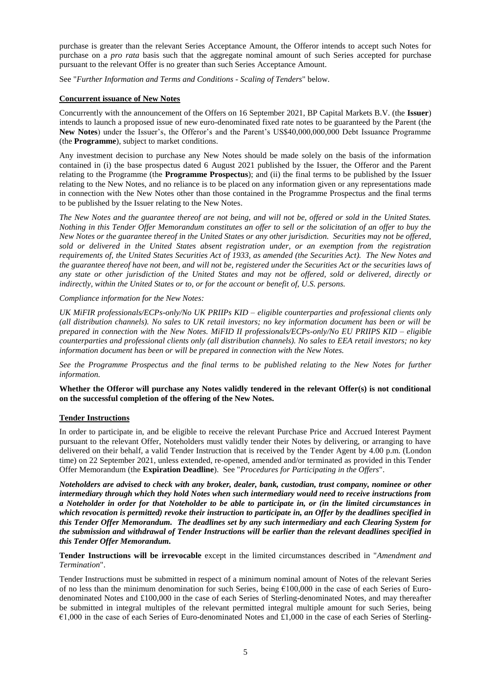purchase is greater than the relevant Series Acceptance Amount, the Offeror intends to accept such Notes for purchase on a *pro rata* basis such that the aggregate nominal amount of such Series accepted for purchase pursuant to the relevant Offer is no greater than such Series Acceptance Amount.

See "*Further Information and Terms and Conditions - Scaling of Tenders*" below.

## **Concurrent issuance of New Notes**

Concurrently with the announcement of the Offers on 16 September 2021, BP Capital Markets B.V. (the **Issuer**) intends to launch a proposed issue of new euro-denominated fixed rate notes to be guaranteed by the Parent (the **New Notes**) under the Issuer's, the Offeror's and the Parent's US\$40,000,000,000 Debt Issuance Programme (the **Programme**), subject to market conditions.

Any investment decision to purchase any New Notes should be made solely on the basis of the information contained in (i) the base prospectus dated 6 August 2021 published by the Issuer, the Offeror and the Parent relating to the Programme (the **Programme Prospectus**); and (ii) the final terms to be published by the Issuer relating to the New Notes, and no reliance is to be placed on any information given or any representations made in connection with the New Notes other than those contained in the Programme Prospectus and the final terms to be published by the Issuer relating to the New Notes.

*The New Notes and the guarantee thereof are not being, and will not be, offered or sold in the United States. Nothing in this Tender Offer Memorandum constitutes an offer to sell or the solicitation of an offer to buy the New Notes or the guarantee thereof in the United States or any other jurisdiction. Securities may not be offered, sold or delivered in the United States absent registration under, or an exemption from the registration requirements of, the United States Securities Act of 1933, as amended (the Securities Act). The New Notes and the guarantee thereof have not been, and will not be, registered under the Securities Act or the securities laws of any state or other jurisdiction of the United States and may not be offered, sold or delivered, directly or indirectly, within the United States or to, or for the account or benefit of, U.S. persons.*

## *Compliance information for the New Notes:*

*UK MiFIR professionals/ECPs-only/No UK PRIIPs KID – eligible counterparties and professional clients only (all distribution channels). No sales to UK retail investors; no key information document has been or will be prepared in connection with the New Notes. MiFID II professionals/ECPs-only/No EU PRIIPS KID – eligible counterparties and professional clients only (all distribution channels). No sales to EEA retail investors; no key information document has been or will be prepared in connection with the New Notes.*

*See the Programme Prospectus and the final terms to be published relating to the New Notes for further information.*

Whether the Offeror will purchase any Notes validly tendered in the relevant Offer(s) is not conditional **on the successful completion of the offering of the New Notes.** 

## **Tender Instructions**

In order to participate in, and be eligible to receive the relevant Purchase Price and Accrued Interest Payment pursuant to the relevant Offer, Noteholders must validly tender their Notes by delivering, or arranging to have delivered on their behalf, a valid Tender Instruction that is received by the Tender Agent by 4.00 p.m. (London time) on 22 September 2021, unless extended, re-opened, amended and/or terminated as provided in this Tender Offer Memorandum (the **Expiration Deadline**). See "*Procedures for Participating in the Offers*".

*Noteholders are advised to check with any broker, dealer, bank, custodian, trust company, nominee or other intermediary through which they hold Notes when such intermediary would need to receive instructions from a Noteholder in order for that Noteholder to be able to participate in, or (in the limited circumstances in which revocation is permitted) revoke their instruction to participate in, an Offer by the deadlines specified in this Tender Offer Memorandum. The deadlines set by any such intermediary and each Clearing System for the submission and withdrawal of Tender Instructions will be earlier than the relevant deadlines specified in this Tender Offer Memorandum.*

**Tender Instructions will be irrevocable** except in the limited circumstances described in "*Amendment and Termination*".

Tender Instructions must be submitted in respect of a minimum nominal amount of Notes of the relevant Series of no less than the minimum denomination for such Series, being  $£100,000$  in the case of each Series of Eurodenominated Notes and £100,000 in the case of each Series of Sterling-denominated Notes, and may thereafter be submitted in integral multiples of the relevant permitted integral multiple amount for such Series, being €1,000 in the case of each Series of Euro-denominated Notes and £1,000 in the case of each Series of Sterling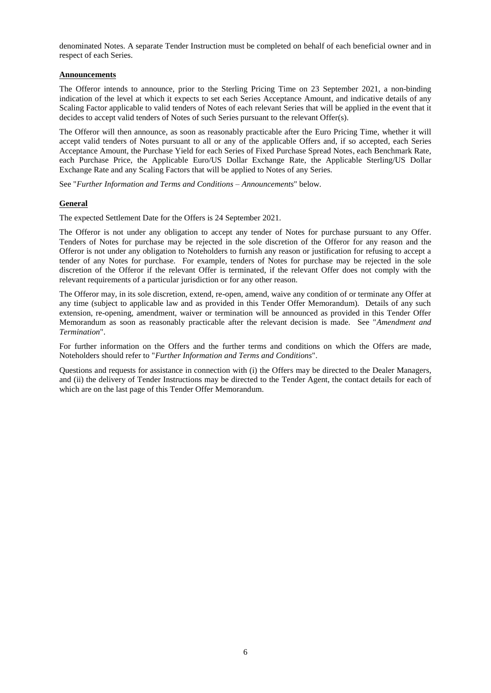denominated Notes. A separate Tender Instruction must be completed on behalf of each beneficial owner and in respect of each Series.

#### **Announcements**

The Offeror intends to announce, prior to the Sterling Pricing Time on 23 September 2021, a non-binding indication of the level at which it expects to set each Series Acceptance Amount, and indicative details of any Scaling Factor applicable to valid tenders of Notes of each relevant Series that will be applied in the event that it decides to accept valid tenders of Notes of such Series pursuant to the relevant Offer(s).

The Offeror will then announce, as soon as reasonably practicable after the Euro Pricing Time, whether it will accept valid tenders of Notes pursuant to all or any of the applicable Offers and, if so accepted, each Series Acceptance Amount, the Purchase Yield for each Series of Fixed Purchase Spread Notes, each Benchmark Rate, each Purchase Price, the Applicable Euro/US Dollar Exchange Rate, the Applicable Sterling/US Dollar Exchange Rate and any Scaling Factors that will be applied to Notes of any Series.

See "*Further Information and Terms and Conditions – Announcements*" below.

## **General**

The expected Settlement Date for the Offers is 24 September 2021.

The Offeror is not under any obligation to accept any tender of Notes for purchase pursuant to any Offer. Tenders of Notes for purchase may be rejected in the sole discretion of the Offeror for any reason and the Offeror is not under any obligation to Noteholders to furnish any reason or justification for refusing to accept a tender of any Notes for purchase. For example, tenders of Notes for purchase may be rejected in the sole discretion of the Offeror if the relevant Offer is terminated, if the relevant Offer does not comply with the relevant requirements of a particular jurisdiction or for any other reason.

The Offeror may, in its sole discretion, extend, re-open, amend, waive any condition of or terminate any Offer at any time (subject to applicable law and as provided in this Tender Offer Memorandum). Details of any such extension, re-opening, amendment, waiver or termination will be announced as provided in this Tender Offer Memorandum as soon as reasonably practicable after the relevant decision is made. See "*Amendment and Termination*".

For further information on the Offers and the further terms and conditions on which the Offers are made, Noteholders should refer to "*Further Information and Terms and Conditions*".

Questions and requests for assistance in connection with (i) the Offers may be directed to the Dealer Managers, and (ii) the delivery of Tender Instructions may be directed to the Tender Agent, the contact details for each of which are on the last page of this Tender Offer Memorandum.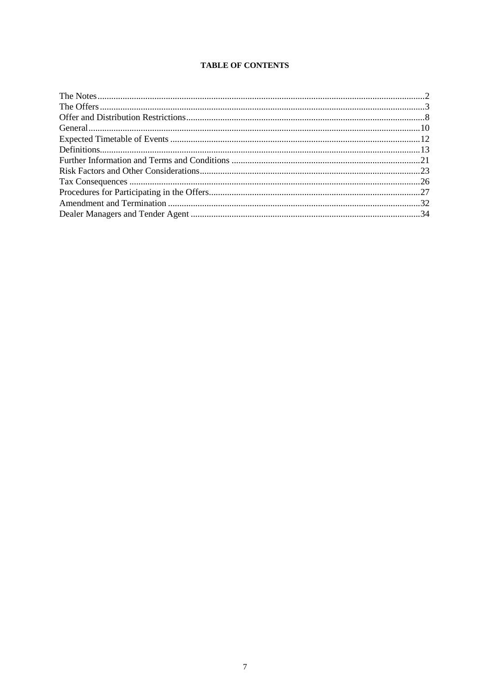## **TABLE OF CONTENTS**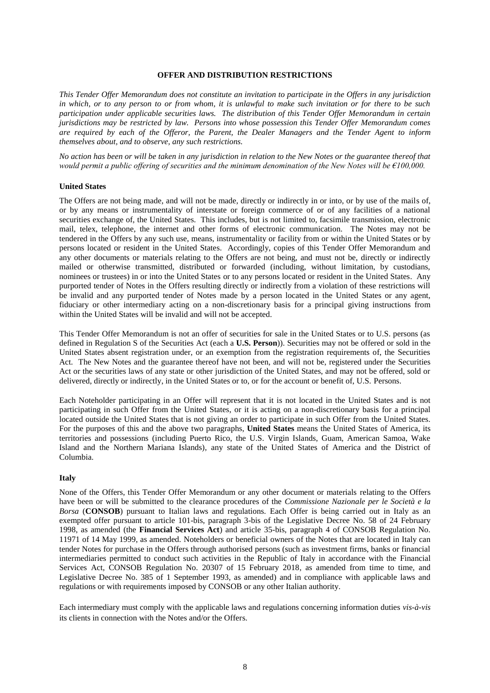#### **OFFER AND DISTRIBUTION RESTRICTIONS**

*This Tender Offer Memorandum does not constitute an invitation to participate in the Offers in any jurisdiction in which, or to any person to or from whom, it is unlawful to make such invitation or for there to be such participation under applicable securities laws. The distribution of this Tender Offer Memorandum in certain jurisdictions may be restricted by law. Persons into whose possession this Tender Offer Memorandum comes are required by each of the Offeror, the Parent, the Dealer Managers and the Tender Agent to inform themselves about, and to observe, any such restrictions.*

*No action has been or will be taken in any jurisdiction in relation to the New Notes or the guarantee thereof that would permit a public offering of securities and the minimum denomination of the New Notes will be €100,000.*

#### **United States**

The Offers are not being made, and will not be made, directly or indirectly in or into, or by use of the mails of, or by any means or instrumentality of interstate or foreign commerce of or of any facilities of a national securities exchange of, the United States. This includes, but is not limited to, facsimile transmission, electronic mail, telex, telephone, the internet and other forms of electronic communication. The Notes may not be tendered in the Offers by any such use, means, instrumentality or facility from or within the United States or by persons located or resident in the United States. Accordingly, copies of this Tender Offer Memorandum and any other documents or materials relating to the Offers are not being, and must not be, directly or indirectly mailed or otherwise transmitted, distributed or forwarded (including, without limitation, by custodians, nominees or trustees) in or into the United States or to any persons located or resident in the United States. Any purported tender of Notes in the Offers resulting directly or indirectly from a violation of these restrictions will be invalid and any purported tender of Notes made by a person located in the United States or any agent, fiduciary or other intermediary acting on a non-discretionary basis for a principal giving instructions from within the United States will be invalid and will not be accepted.

This Tender Offer Memorandum is not an offer of securities for sale in the United States or to U.S. persons (as defined in Regulation S of the Securities Act (each a **U.S. Person**)). Securities may not be offered or sold in the United States absent registration under, or an exemption from the registration requirements of, the Securities Act. The New Notes and the guarantee thereof have not been, and will not be, registered under the Securities Act or the securities laws of any state or other jurisdiction of the United States, and may not be offered, sold or delivered, directly or indirectly, in the United States or to, or for the account or benefit of, U.S. Persons.

Each Noteholder participating in an Offer will represent that it is not located in the United States and is not participating in such Offer from the United States, or it is acting on a non-discretionary basis for a principal located outside the United States that is not giving an order to participate in such Offer from the United States. For the purposes of this and the above two paragraphs, **United States** means the United States of America, its territories and possessions (including Puerto Rico, the U.S. Virgin Islands, Guam, American Samoa, Wake Island and the Northern Mariana Islands), any state of the United States of America and the District of Columbia.

#### **Italy**

None of the Offers, this Tender Offer Memorandum or any other document or materials relating to the Offers have been or will be submitted to the clearance procedures of the *Commissione Nazionale per le Società e la Borsa* (**CONSOB**) pursuant to Italian laws and regulations. Each Offer is being carried out in Italy as an exempted offer pursuant to article 101-bis, paragraph 3-bis of the Legislative Decree No. 58 of 24 February 1998, as amended (the **Financial Services Act**) and article 35-bis, paragraph 4 of CONSOB Regulation No. 11971 of 14 May 1999, as amended. Noteholders or beneficial owners of the Notes that are located in Italy can tender Notes for purchase in the Offers through authorised persons (such as investment firms, banks or financial intermediaries permitted to conduct such activities in the Republic of Italy in accordance with the Financial Services Act, CONSOB Regulation No. 20307 of 15 February 2018, as amended from time to time, and Legislative Decree No. 385 of 1 September 1993, as amended) and in compliance with applicable laws and regulations or with requirements imposed by CONSOB or any other Italian authority.

Each intermediary must comply with the applicable laws and regulations concerning information duties *vis-à-vis* its clients in connection with the Notes and/or the Offers.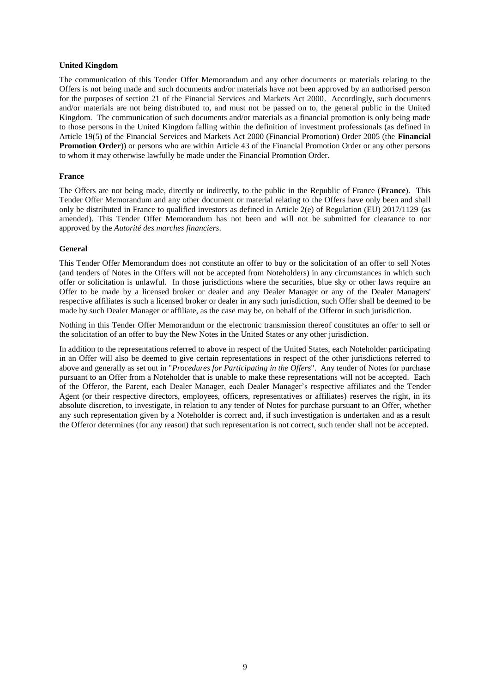#### **United Kingdom**

The communication of this Tender Offer Memorandum and any other documents or materials relating to the Offers is not being made and such documents and/or materials have not been approved by an authorised person for the purposes of section 21 of the Financial Services and Markets Act 2000. Accordingly, such documents and/or materials are not being distributed to, and must not be passed on to, the general public in the United Kingdom. The communication of such documents and/or materials as a financial promotion is only being made to those persons in the United Kingdom falling within the definition of investment professionals (as defined in Article 19(5) of the Financial Services and Markets Act 2000 (Financial Promotion) Order 2005 (the **Financial Promotion Order**)) or persons who are within Article 43 of the Financial Promotion Order or any other persons to whom it may otherwise lawfully be made under the Financial Promotion Order.

#### **France**

The Offers are not being made, directly or indirectly, to the public in the Republic of France (**France**). This Tender Offer Memorandum and any other document or material relating to the Offers have only been and shall only be distributed in France to qualified investors as defined in Article 2(e) of Regulation (EU) 2017/1129 (as amended). This Tender Offer Memorandum has not been and will not be submitted for clearance to nor approved by the *Autorité des marches financiers*.

#### **General**

This Tender Offer Memorandum does not constitute an offer to buy or the solicitation of an offer to sell Notes (and tenders of Notes in the Offers will not be accepted from Noteholders) in any circumstances in which such offer or solicitation is unlawful. In those jurisdictions where the securities, blue sky or other laws require an Offer to be made by a licensed broker or dealer and any Dealer Manager or any of the Dealer Managers' respective affiliates is such a licensed broker or dealer in any such jurisdiction, such Offer shall be deemed to be made by such Dealer Manager or affiliate, as the case may be, on behalf of the Offeror in such jurisdiction.

Nothing in this Tender Offer Memorandum or the electronic transmission thereof constitutes an offer to sell or the solicitation of an offer to buy the New Notes in the United States or any other jurisdiction.

In addition to the representations referred to above in respect of the United States, each Noteholder participating in an Offer will also be deemed to give certain representations in respect of the other jurisdictions referred to above and generally as set out in "*Procedures for Participating in the Offers*". Any tender of Notes for purchase pursuant to an Offer from a Noteholder that is unable to make these representations will not be accepted. Each of the Offeror, the Parent, each Dealer Manager, each Dealer Manager's respective affiliates and the Tender Agent (or their respective directors, employees, officers, representatives or affiliates) reserves the right, in its absolute discretion, to investigate, in relation to any tender of Notes for purchase pursuant to an Offer, whether any such representation given by a Noteholder is correct and, if such investigation is undertaken and as a result the Offeror determines (for any reason) that such representation is not correct, such tender shall not be accepted.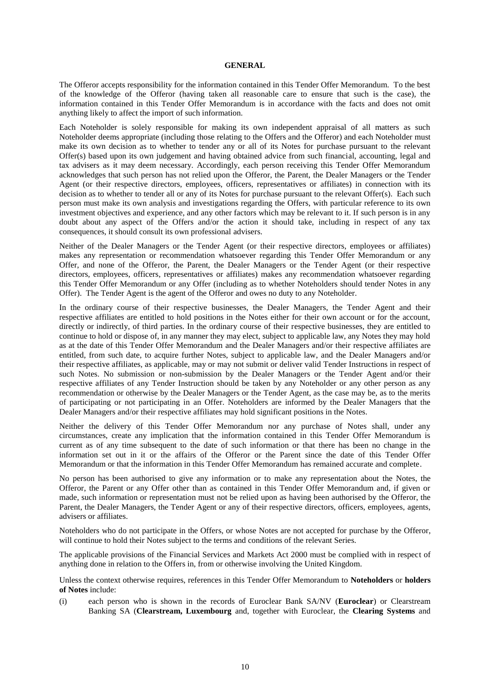#### **GENERAL**

The Offeror accepts responsibility for the information contained in this Tender Offer Memorandum. To the best of the knowledge of the Offeror (having taken all reasonable care to ensure that such is the case), the information contained in this Tender Offer Memorandum is in accordance with the facts and does not omit anything likely to affect the import of such information.

Each Noteholder is solely responsible for making its own independent appraisal of all matters as such Noteholder deems appropriate (including those relating to the Offers and the Offeror) and each Noteholder must make its own decision as to whether to tender any or all of its Notes for purchase pursuant to the relevant Offer(s) based upon its own judgement and having obtained advice from such financial, accounting, legal and tax advisers as it may deem necessary. Accordingly, each person receiving this Tender Offer Memorandum acknowledges that such person has not relied upon the Offeror, the Parent, the Dealer Managers or the Tender Agent (or their respective directors, employees, officers, representatives or affiliates) in connection with its decision as to whether to tender all or any of its Notes for purchase pursuant to the relevant Offer(s). Each such person must make its own analysis and investigations regarding the Offers, with particular reference to its own investment objectives and experience, and any other factors which may be relevant to it. If such person is in any doubt about any aspect of the Offers and/or the action it should take, including in respect of any tax consequences, it should consult its own professional advisers.

Neither of the Dealer Managers or the Tender Agent (or their respective directors, employees or affiliates) makes any representation or recommendation whatsoever regarding this Tender Offer Memorandum or any Offer, and none of the Offeror, the Parent, the Dealer Managers or the Tender Agent (or their respective directors, employees, officers, representatives or affiliates) makes any recommendation whatsoever regarding this Tender Offer Memorandum or any Offer (including as to whether Noteholders should tender Notes in any Offer). The Tender Agent is the agent of the Offeror and owes no duty to any Noteholder.

In the ordinary course of their respective businesses, the Dealer Managers, the Tender Agent and their respective affiliates are entitled to hold positions in the Notes either for their own account or for the account, directly or indirectly, of third parties. In the ordinary course of their respective businesses, they are entitled to continue to hold or dispose of, in any manner they may elect, subject to applicable law, any Notes they may hold as at the date of this Tender Offer Memorandum and the Dealer Managers and/or their respective affiliates are entitled, from such date, to acquire further Notes, subject to applicable law, and the Dealer Managers and/or their respective affiliates, as applicable, may or may not submit or deliver valid Tender Instructions in respect of such Notes. No submission or non-submission by the Dealer Managers or the Tender Agent and/or their respective affiliates of any Tender Instruction should be taken by any Noteholder or any other person as any recommendation or otherwise by the Dealer Managers or the Tender Agent, as the case may be, as to the merits of participating or not participating in an Offer. Noteholders are informed by the Dealer Managers that the Dealer Managers and/or their respective affiliates may hold significant positions in the Notes.

Neither the delivery of this Tender Offer Memorandum nor any purchase of Notes shall, under any circumstances, create any implication that the information contained in this Tender Offer Memorandum is current as of any time subsequent to the date of such information or that there has been no change in the information set out in it or the affairs of the Offeror or the Parent since the date of this Tender Offer Memorandum or that the information in this Tender Offer Memorandum has remained accurate and complete.

No person has been authorised to give any information or to make any representation about the Notes, the Offeror, the Parent or any Offer other than as contained in this Tender Offer Memorandum and, if given or made, such information or representation must not be relied upon as having been authorised by the Offeror, the Parent, the Dealer Managers, the Tender Agent or any of their respective directors, officers, employees, agents, advisers or affiliates.

Noteholders who do not participate in the Offers, or whose Notes are not accepted for purchase by the Offeror, will continue to hold their Notes subject to the terms and conditions of the relevant Series.

The applicable provisions of the Financial Services and Markets Act 2000 must be complied with in respect of anything done in relation to the Offers in, from or otherwise involving the United Kingdom.

<span id="page-11-0"></span>Unless the context otherwise requires, references in this Tender Offer Memorandum to **Noteholders** or **holders of Notes** include:

(i) each person who is shown in the records of Euroclear Bank SA/NV (**Euroclear**) or Clearstream Banking SA (**Clearstream, Luxembourg** and, together with Euroclear, the **Clearing Systems** and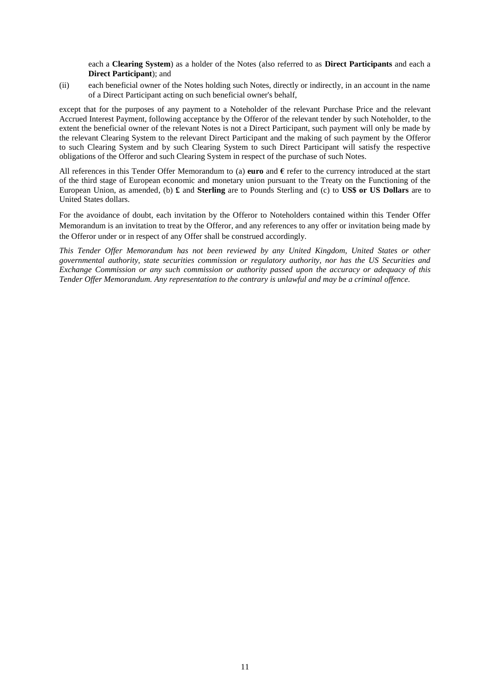each a **Clearing System**) as a holder of the Notes (also referred to as **Direct Participants** and each a **Direct Participant**); and

(ii) each beneficial owner of the Notes holding such Notes, directly or indirectly, in an account in the name of a Direct Participant acting on such beneficial owner's behalf,

except that for the purposes of any payment to a Noteholder of the relevant Purchase Price and the relevant Accrued Interest Payment, following acceptance by the Offeror of the relevant tender by such Noteholder, to the extent the beneficial owner of the relevant Notes is not a Direct Participant, such payment will only be made by the relevant Clearing System to the relevant Direct Participant and the making of such payment by the Offeror to such Clearing System and by such Clearing System to such Direct Participant will satisfy the respective obligations of the Offeror and such Clearing System in respect of the purchase of such Notes.

All references in this Tender Offer Memorandum to (a) **euro** and  $\epsilon$  refer to the currency introduced at the start of the third stage of European economic and monetary union pursuant to the Treaty on the Functioning of the European Union, as amended, (b) **£** and **Sterling** are to Pounds Sterling and (c) to **US\$ or US Dollars** are to United States dollars.

For the avoidance of doubt, each invitation by the Offeror to Noteholders contained within this Tender Offer Memorandum is an invitation to treat by the Offeror, and any references to any offer or invitation being made by the Offeror under or in respect of any Offer shall be construed accordingly.

*This Tender Offer Memorandum has not been reviewed by any United Kingdom, United States or other governmental authority, state securities commission or regulatory authority, nor has the US Securities and Exchange Commission or any such commission or authority passed upon the accuracy or adequacy of this Tender Offer Memorandum. Any representation to the contrary is unlawful and may be a criminal offence.*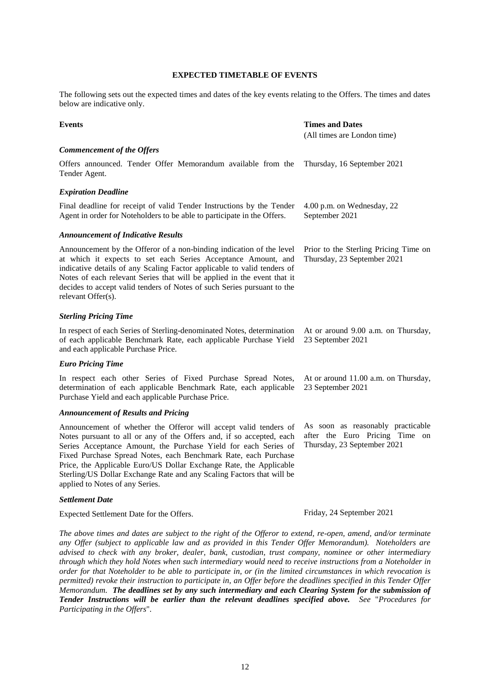## **EXPECTED TIMETABLE OF EVENTS**

The following sets out the expected times and dates of the key events relating to the Offers. The times and dates below are indicative only.

| <b>Events</b>                                                                                                                                                                                                                                                                                                                                                                                                                                                    | <b>Times and Dates</b><br>(All times are London time)                                              |
|------------------------------------------------------------------------------------------------------------------------------------------------------------------------------------------------------------------------------------------------------------------------------------------------------------------------------------------------------------------------------------------------------------------------------------------------------------------|----------------------------------------------------------------------------------------------------|
| <b>Commencement of the Offers</b>                                                                                                                                                                                                                                                                                                                                                                                                                                |                                                                                                    |
| Offers announced. Tender Offer Memorandum available from the<br>Tender Agent.                                                                                                                                                                                                                                                                                                                                                                                    | Thursday, 16 September 2021                                                                        |
| <b>Expiration Deadline</b>                                                                                                                                                                                                                                                                                                                                                                                                                                       |                                                                                                    |
| Final deadline for receipt of valid Tender Instructions by the Tender<br>Agent in order for Noteholders to be able to participate in the Offers.                                                                                                                                                                                                                                                                                                                 | 4.00 p.m. on Wednesday, 22<br>September 2021                                                       |
| <b>Announcement of Indicative Results</b>                                                                                                                                                                                                                                                                                                                                                                                                                        |                                                                                                    |
| Announcement by the Offeror of a non-binding indication of the level<br>at which it expects to set each Series Acceptance Amount, and<br>indicative details of any Scaling Factor applicable to valid tenders of<br>Notes of each relevant Series that will be applied in the event that it<br>decides to accept valid tenders of Notes of such Series pursuant to the<br>relevant Offer(s).                                                                     | Prior to the Sterling Pricing Time on<br>Thursday, 23 September 2021                               |
| <b>Sterling Pricing Time</b>                                                                                                                                                                                                                                                                                                                                                                                                                                     |                                                                                                    |
| In respect of each Series of Sterling-denominated Notes, determination<br>of each applicable Benchmark Rate, each applicable Purchase Yield<br>and each applicable Purchase Price.                                                                                                                                                                                                                                                                               | At or around 9.00 a.m. on Thursday,<br>23 September 2021                                           |
| <b>Euro Pricing Time</b>                                                                                                                                                                                                                                                                                                                                                                                                                                         |                                                                                                    |
| In respect each other Series of Fixed Purchase Spread Notes,<br>determination of each applicable Benchmark Rate, each applicable<br>Purchase Yield and each applicable Purchase Price.                                                                                                                                                                                                                                                                           | At or around 11.00 a.m. on Thursday,<br>23 September 2021                                          |
| <b>Announcement of Results and Pricing</b>                                                                                                                                                                                                                                                                                                                                                                                                                       |                                                                                                    |
| Announcement of whether the Offeror will accept valid tenders of<br>Notes pursuant to all or any of the Offers and, if so accepted, each<br>Series Acceptance Amount, the Purchase Yield for each Series of<br>Fixed Purchase Spread Notes, each Benchmark Rate, each Purchase<br>Price, the Applicable Euro/US Dollar Exchange Rate, the Applicable<br>Sterling/US Dollar Exchange Rate and any Scaling Factors that will be<br>applied to Notes of any Series. | As soon as reasonably practicable<br>after the Euro Pricing Time on<br>Thursday, 23 September 2021 |
| <b>Settlement Date</b>                                                                                                                                                                                                                                                                                                                                                                                                                                           |                                                                                                    |

Expected Settlement Date for the Offers. Friday, 24 September 2021

*The above times and dates are subject to the right of the Offeror to extend, re-open, amend, and/or terminate any Offer (subject to applicable law and as provided in this Tender Offer Memorandum). Noteholders are advised to check with any broker, dealer, bank, custodian, trust company, nominee or other intermediary through which they hold Notes when such intermediary would need to receive instructions from a Noteholder in order for that Noteholder to be able to participate in, or (in the limited circumstances in which revocation is permitted) revoke their instruction to participate in, an Offer before the deadlines specified in this Tender Offer Memorandum. The deadlines set by any such intermediary and each Clearing System for the submission of Tender Instructions will be earlier than the relevant deadlines specified above. See* "*Procedures for Participating in the Offers*"*.*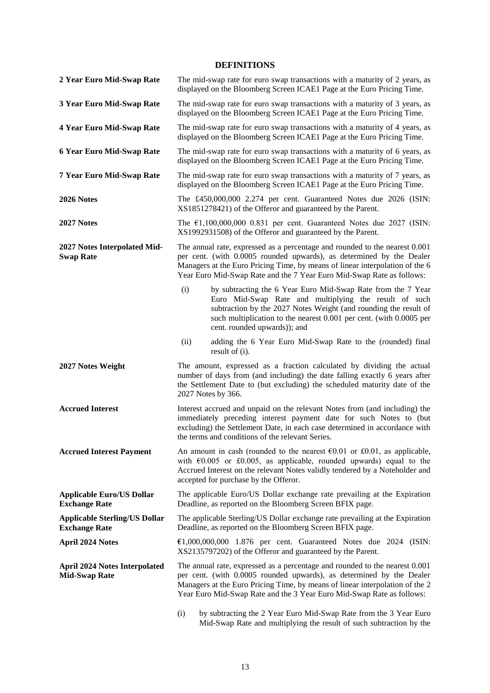# **DEFINITIONS**

| 2 Year Euro Mid-Swap Rate                                    | The mid-swap rate for euro swap transactions with a maturity of 2 years, as<br>displayed on the Bloomberg Screen ICAE1 Page at the Euro Pricing Time.                                                                                                                                                        |
|--------------------------------------------------------------|--------------------------------------------------------------------------------------------------------------------------------------------------------------------------------------------------------------------------------------------------------------------------------------------------------------|
| 3 Year Euro Mid-Swap Rate                                    | The mid-swap rate for euro swap transactions with a maturity of 3 years, as<br>displayed on the Bloomberg Screen ICAE1 Page at the Euro Pricing Time.                                                                                                                                                        |
| <b>4 Year Euro Mid-Swap Rate</b>                             | The mid-swap rate for euro swap transactions with a maturity of 4 years, as<br>displayed on the Bloomberg Screen ICAE1 Page at the Euro Pricing Time.                                                                                                                                                        |
| 6 Year Euro Mid-Swap Rate                                    | The mid-swap rate for euro swap transactions with a maturity of 6 years, as<br>displayed on the Bloomberg Screen ICAE1 Page at the Euro Pricing Time.                                                                                                                                                        |
| 7 Year Euro Mid-Swap Rate                                    | The mid-swap rate for euro swap transactions with a maturity of 7 years, as<br>displayed on the Bloomberg Screen ICAE1 Page at the Euro Pricing Time.                                                                                                                                                        |
| 2026 Notes                                                   | The £450,000,000 2.274 per cent. Guaranteed Notes due 2026 (ISIN:<br>XS1851278421) of the Offeror and guaranteed by the Parent.                                                                                                                                                                              |
| 2027 Notes                                                   | The $\epsilon$ 1,100,000,000 0.831 per cent. Guaranteed Notes due 2027 (ISIN:<br>XS1992931508) of the Offeror and guaranteed by the Parent.                                                                                                                                                                  |
| 2027 Notes Interpolated Mid-<br><b>Swap Rate</b>             | The annual rate, expressed as a percentage and rounded to the nearest 0.001<br>per cent. (with 0.0005 rounded upwards), as determined by the Dealer<br>Managers at the Euro Pricing Time, by means of linear interpolation of the 6<br>Year Euro Mid-Swap Rate and the 7 Year Euro Mid-Swap Rate as follows: |
|                                                              | (i)<br>by subtracting the 6 Year Euro Mid-Swap Rate from the 7 Year<br>Euro Mid-Swap Rate and multiplying the result of such<br>subtraction by the 2027 Notes Weight (and rounding the result of<br>such multiplication to the nearest 0.001 per cent. (with 0.0005 per<br>cent. rounded upwards)); and      |
|                                                              | (ii)<br>adding the 6 Year Euro Mid-Swap Rate to the (rounded) final<br>result of (i).                                                                                                                                                                                                                        |
| 2027 Notes Weight                                            | The amount, expressed as a fraction calculated by dividing the actual<br>number of days from (and including) the date falling exactly 6 years after<br>the Settlement Date to (but excluding) the scheduled maturity date of the<br>2027 Notes by 366.                                                       |
| <b>Accrued Interest</b>                                      | Interest accrued and unpaid on the relevant Notes from (and including) the<br>immediately preceding interest payment date for such Notes to (but<br>excluding) the Settlement Date, in each case determined in accordance with<br>the terms and conditions of the relevant Series.                           |
| <b>Accrued Interest Payment</b>                              | An amount in cash (rounded to the nearest $\epsilon$ 0.01 or £0.01, as applicable,<br>with $\epsilon$ 0.005 or £0.005, as applicable, rounded upwards) equal to the<br>Accrued Interest on the relevant Notes validly tendered by a Noteholder and<br>accepted for purchase by the Offeror.                  |
| <b>Applicable Euro/US Dollar</b><br><b>Exchange Rate</b>     | The applicable Euro/US Dollar exchange rate prevailing at the Expiration<br>Deadline, as reported on the Bloomberg Screen BFIX page.                                                                                                                                                                         |
| <b>Applicable Sterling/US Dollar</b><br><b>Exchange Rate</b> | The applicable Sterling/US Dollar exchange rate prevailing at the Expiration<br>Deadline, as reported on the Bloomberg Screen BFIX page.                                                                                                                                                                     |
| <b>April 2024 Notes</b>                                      | $\text{\textsterling}1,000,000,000$ 1.876 per cent. Guaranteed Notes due 2024 (ISIN:<br>XS2135797202) of the Offeror and guaranteed by the Parent.                                                                                                                                                           |
| <b>April 2024 Notes Interpolated</b><br><b>Mid-Swap Rate</b> | The annual rate, expressed as a percentage and rounded to the nearest 0.001<br>per cent. (with 0.0005 rounded upwards), as determined by the Dealer<br>Managers at the Euro Pricing Time, by means of linear interpolation of the 2<br>Year Euro Mid-Swap Rate and the 3 Year Euro Mid-Swap Rate as follows: |
|                                                              | $2.57 \times 10^{-1}$<br>$M: A \cup C$<br>. n.                                                                                                                                                                                                                                                               |

(i) by subtracting the 2 Year Euro Mid-Swap Rate from the 3 Year Euro Mid-Swap Rate and multiplying the result of such subtraction by the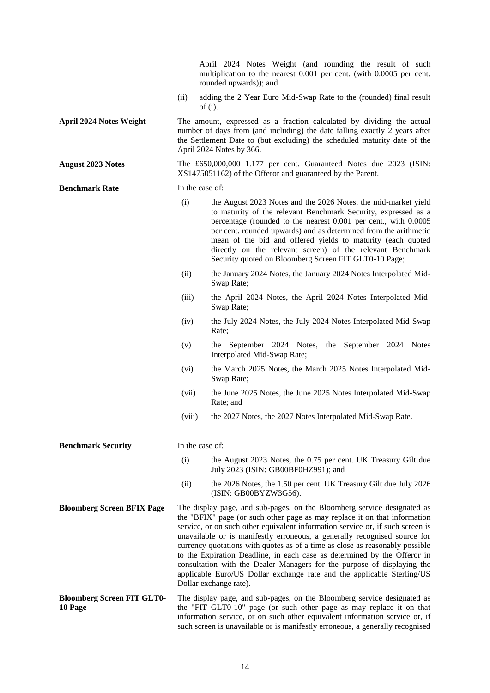|                                              |                 | April 2024 Notes Weight (and rounding the result of such<br>multiplication to the nearest 0.001 per cent. (with 0.0005 per cent.<br>rounded upwards)); and                                                                                                                                                                                                                                                                                                                                                                                                                                                                                                     |
|----------------------------------------------|-----------------|----------------------------------------------------------------------------------------------------------------------------------------------------------------------------------------------------------------------------------------------------------------------------------------------------------------------------------------------------------------------------------------------------------------------------------------------------------------------------------------------------------------------------------------------------------------------------------------------------------------------------------------------------------------|
|                                              | (ii)            | adding the 2 Year Euro Mid-Swap Rate to the (rounded) final result<br>of $(i)$ .                                                                                                                                                                                                                                                                                                                                                                                                                                                                                                                                                                               |
| <b>April 2024 Notes Weight</b>               |                 | The amount, expressed as a fraction calculated by dividing the actual<br>number of days from (and including) the date falling exactly 2 years after<br>the Settlement Date to (but excluding) the scheduled maturity date of the<br>April 2024 Notes by 366.                                                                                                                                                                                                                                                                                                                                                                                                   |
| <b>August 2023 Notes</b>                     |                 | The £650,000,000 1.177 per cent. Guaranteed Notes due 2023 (ISIN:<br>XS1475051162) of the Offeror and guaranteed by the Parent.                                                                                                                                                                                                                                                                                                                                                                                                                                                                                                                                |
| <b>Benchmark Rate</b>                        | In the case of: |                                                                                                                                                                                                                                                                                                                                                                                                                                                                                                                                                                                                                                                                |
|                                              | (i)             | the August 2023 Notes and the 2026 Notes, the mid-market yield<br>to maturity of the relevant Benchmark Security, expressed as a<br>percentage (rounded to the nearest 0.001 per cent., with 0.0005<br>per cent. rounded upwards) and as determined from the arithmetic<br>mean of the bid and offered yields to maturity (each quoted<br>directly on the relevant screen) of the relevant Benchmark<br>Security quoted on Bloomberg Screen FIT GLT0-10 Page;                                                                                                                                                                                                  |
|                                              | (ii)            | the January 2024 Notes, the January 2024 Notes Interpolated Mid-<br>Swap Rate;                                                                                                                                                                                                                                                                                                                                                                                                                                                                                                                                                                                 |
|                                              | (iii)           | the April 2024 Notes, the April 2024 Notes Interpolated Mid-<br>Swap Rate;                                                                                                                                                                                                                                                                                                                                                                                                                                                                                                                                                                                     |
|                                              | (iv)            | the July 2024 Notes, the July 2024 Notes Interpolated Mid-Swap<br>Rate;                                                                                                                                                                                                                                                                                                                                                                                                                                                                                                                                                                                        |
|                                              | (v)             | the September 2024 Notes, the September 2024<br><b>Notes</b><br>Interpolated Mid-Swap Rate;                                                                                                                                                                                                                                                                                                                                                                                                                                                                                                                                                                    |
|                                              | (vi)            | the March 2025 Notes, the March 2025 Notes Interpolated Mid-<br>Swap Rate;                                                                                                                                                                                                                                                                                                                                                                                                                                                                                                                                                                                     |
|                                              | (vii)           | the June 2025 Notes, the June 2025 Notes Interpolated Mid-Swap<br>Rate; and                                                                                                                                                                                                                                                                                                                                                                                                                                                                                                                                                                                    |
|                                              | (viii)          | the 2027 Notes, the 2027 Notes Interpolated Mid-Swap Rate.                                                                                                                                                                                                                                                                                                                                                                                                                                                                                                                                                                                                     |
| <b>Benchmark Security</b>                    | In the case of: |                                                                                                                                                                                                                                                                                                                                                                                                                                                                                                                                                                                                                                                                |
|                                              | (i)             | the August 2023 Notes, the 0.75 per cent. UK Treasury Gilt due<br>July 2023 (ISIN: GB00BF0HZ991); and                                                                                                                                                                                                                                                                                                                                                                                                                                                                                                                                                          |
|                                              | (ii)            | the 2026 Notes, the 1.50 per cent. UK Treasury Gilt due July 2026<br>(ISIN: GB00BYZW3G56).                                                                                                                                                                                                                                                                                                                                                                                                                                                                                                                                                                     |
| <b>Bloomberg Screen BFIX Page</b>            |                 | The display page, and sub-pages, on the Bloomberg service designated as<br>the "BFIX" page (or such other page as may replace it on that information<br>service, or on such other equivalent information service or, if such screen is<br>unavailable or is manifestly erroneous, a generally recognised source for<br>currency quotations with quotes as of a time as close as reasonably possible<br>to the Expiration Deadline, in each case as determined by the Offeror in<br>consultation with the Dealer Managers for the purpose of displaying the<br>applicable Euro/US Dollar exchange rate and the applicable Sterling/US<br>Dollar exchange rate). |
| <b>Bloomberg Screen FIT GLT0-</b><br>10 Page |                 | The display page, and sub-pages, on the Bloomberg service designated as<br>the "FIT GLT0-10" page (or such other page as may replace it on that<br>information service, or on such other equivalent information service or, if<br>such screen is unavailable or is manifestly erroneous, a generally recognised                                                                                                                                                                                                                                                                                                                                                |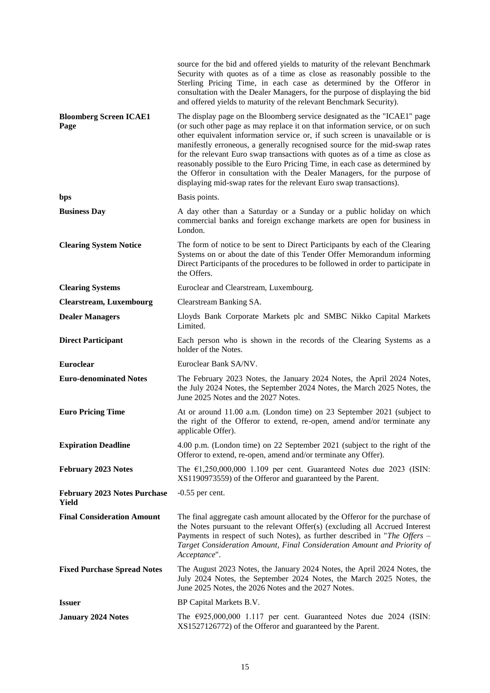|                                              | source for the bid and offered yields to maturity of the relevant Benchmark<br>Security with quotes as of a time as close as reasonably possible to the<br>Sterling Pricing Time, in each case as determined by the Offeror in<br>consultation with the Dealer Managers, for the purpose of displaying the bid<br>and offered yields to maturity of the relevant Benchmark Security).                                                                                                                                                                                                                                                     |
|----------------------------------------------|-------------------------------------------------------------------------------------------------------------------------------------------------------------------------------------------------------------------------------------------------------------------------------------------------------------------------------------------------------------------------------------------------------------------------------------------------------------------------------------------------------------------------------------------------------------------------------------------------------------------------------------------|
| <b>Bloomberg Screen ICAE1</b><br>Page        | The display page on the Bloomberg service designated as the "ICAE1" page<br>(or such other page as may replace it on that information service, or on such<br>other equivalent information service or, if such screen is unavailable or is<br>manifestly erroneous, a generally recognised source for the mid-swap rates<br>for the relevant Euro swap transactions with quotes as of a time as close as<br>reasonably possible to the Euro Pricing Time, in each case as determined by<br>the Offeror in consultation with the Dealer Managers, for the purpose of<br>displaying mid-swap rates for the relevant Euro swap transactions). |
| bps                                          | Basis points.                                                                                                                                                                                                                                                                                                                                                                                                                                                                                                                                                                                                                             |
| <b>Business Day</b>                          | A day other than a Saturday or a Sunday or a public holiday on which<br>commercial banks and foreign exchange markets are open for business in<br>London.                                                                                                                                                                                                                                                                                                                                                                                                                                                                                 |
| <b>Clearing System Notice</b>                | The form of notice to be sent to Direct Participants by each of the Clearing<br>Systems on or about the date of this Tender Offer Memorandum informing<br>Direct Participants of the procedures to be followed in order to participate in<br>the Offers.                                                                                                                                                                                                                                                                                                                                                                                  |
| <b>Clearing Systems</b>                      | Euroclear and Clearstream, Luxembourg.                                                                                                                                                                                                                                                                                                                                                                                                                                                                                                                                                                                                    |
| <b>Clearstream, Luxembourg</b>               | Clearstream Banking SA.                                                                                                                                                                                                                                                                                                                                                                                                                                                                                                                                                                                                                   |
| <b>Dealer Managers</b>                       | Lloyds Bank Corporate Markets plc and SMBC Nikko Capital Markets<br>Limited.                                                                                                                                                                                                                                                                                                                                                                                                                                                                                                                                                              |
| <b>Direct Participant</b>                    | Each person who is shown in the records of the Clearing Systems as a<br>holder of the Notes.                                                                                                                                                                                                                                                                                                                                                                                                                                                                                                                                              |
| <b>Euroclear</b>                             | Euroclear Bank SA/NV.                                                                                                                                                                                                                                                                                                                                                                                                                                                                                                                                                                                                                     |
| <b>Euro-denominated Notes</b>                | The February 2023 Notes, the January 2024 Notes, the April 2024 Notes,<br>the July 2024 Notes, the September 2024 Notes, the March 2025 Notes, the<br>June 2025 Notes and the 2027 Notes.                                                                                                                                                                                                                                                                                                                                                                                                                                                 |
| <b>Euro Pricing Time</b>                     | At or around 11.00 a.m. (London time) on 23 September 2021 (subject to<br>the right of the Offeror to extend, re-open, amend and/or terminate any<br>applicable Offer).                                                                                                                                                                                                                                                                                                                                                                                                                                                                   |
| <b>Expiration Deadline</b>                   | 4.00 p.m. (London time) on 22 September 2021 (subject to the right of the<br>Offeror to extend, re-open, amend and/or terminate any Offer).                                                                                                                                                                                                                                                                                                                                                                                                                                                                                               |
| <b>February 2023 Notes</b>                   | The $\epsilon$ 1,250,000,000 1.109 per cent. Guaranteed Notes due 2023 (ISIN:<br>XS1190973559) of the Offeror and guaranteed by the Parent.                                                                                                                                                                                                                                                                                                                                                                                                                                                                                               |
| <b>February 2023 Notes Purchase</b><br>Yield | $-0.55$ per cent.                                                                                                                                                                                                                                                                                                                                                                                                                                                                                                                                                                                                                         |
| <b>Final Consideration Amount</b>            | The final aggregate cash amount allocated by the Offeror for the purchase of<br>the Notes pursuant to the relevant Offer(s) (excluding all Accrued Interest<br>Payments in respect of such Notes), as further described in "The Offers -<br>Target Consideration Amount, Final Consideration Amount and Priority of<br>Acceptance".                                                                                                                                                                                                                                                                                                       |
| <b>Fixed Purchase Spread Notes</b>           | The August 2023 Notes, the January 2024 Notes, the April 2024 Notes, the<br>July 2024 Notes, the September 2024 Notes, the March 2025 Notes, the<br>June 2025 Notes, the 2026 Notes and the 2027 Notes.                                                                                                                                                                                                                                                                                                                                                                                                                                   |
| <b>Issuer</b>                                | BP Capital Markets B.V.                                                                                                                                                                                                                                                                                                                                                                                                                                                                                                                                                                                                                   |
| <b>January 2024 Notes</b>                    | The $\text{\textsterling}925,000,000$ 1.117 per cent. Guaranteed Notes due 2024 (ISIN:<br>XS1527126772) of the Offeror and guaranteed by the Parent.                                                                                                                                                                                                                                                                                                                                                                                                                                                                                      |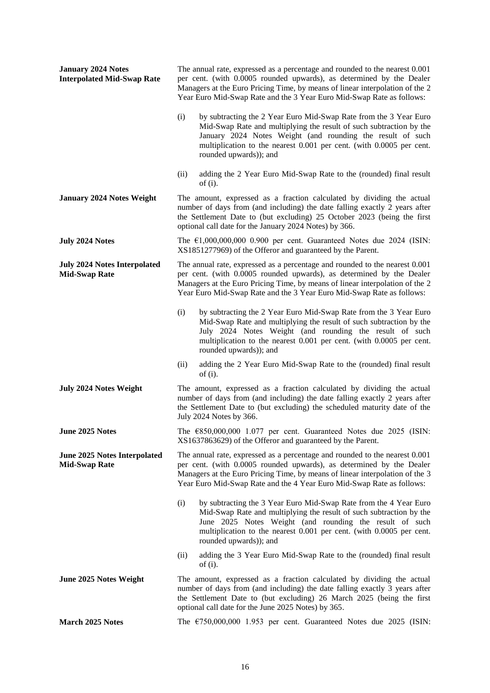| <b>January 2024 Notes</b><br><b>Interpolated Mid-Swap Rate</b> | The annual rate, expressed as a percentage and rounded to the nearest 0.001<br>per cent. (with 0.0005 rounded upwards), as determined by the Dealer<br>Managers at the Euro Pricing Time, by means of linear interpolation of the 2<br>Year Euro Mid-Swap Rate and the 3 Year Euro Mid-Swap Rate as follows:    |
|----------------------------------------------------------------|-----------------------------------------------------------------------------------------------------------------------------------------------------------------------------------------------------------------------------------------------------------------------------------------------------------------|
|                                                                | (i)<br>by subtracting the 2 Year Euro Mid-Swap Rate from the 3 Year Euro<br>Mid-Swap Rate and multiplying the result of such subtraction by the<br>January 2024 Notes Weight (and rounding the result of such<br>multiplication to the nearest 0.001 per cent. (with 0.0005 per cent.<br>rounded upwards)); and |
|                                                                | adding the 2 Year Euro Mid-Swap Rate to the (rounded) final result<br>(ii)<br>of $(i)$ .                                                                                                                                                                                                                        |
| <b>January 2024 Notes Weight</b>                               | The amount, expressed as a fraction calculated by dividing the actual<br>number of days from (and including) the date falling exactly 2 years after<br>the Settlement Date to (but excluding) 25 October 2023 (being the first<br>optional call date for the January 2024 Notes) by 366.                        |
| <b>July 2024 Notes</b>                                         | The $\epsilon$ 1,000,000,000 0.900 per cent. Guaranteed Notes due 2024 (ISIN:<br>XS1851277969) of the Offeror and guaranteed by the Parent.                                                                                                                                                                     |
| <b>July 2024 Notes Interpolated</b><br><b>Mid-Swap Rate</b>    | The annual rate, expressed as a percentage and rounded to the nearest 0.001<br>per cent. (with 0.0005 rounded upwards), as determined by the Dealer<br>Managers at the Euro Pricing Time, by means of linear interpolation of the 2<br>Year Euro Mid-Swap Rate and the 3 Year Euro Mid-Swap Rate as follows:    |
|                                                                | by subtracting the 2 Year Euro Mid-Swap Rate from the 3 Year Euro<br>(i)<br>Mid-Swap Rate and multiplying the result of such subtraction by the<br>July 2024 Notes Weight (and rounding the result of such<br>multiplication to the nearest 0.001 per cent. (with 0.0005 per cent.<br>rounded upwards)); and    |
|                                                                | adding the 2 Year Euro Mid-Swap Rate to the (rounded) final result<br>(ii)<br>of $(i)$ .                                                                                                                                                                                                                        |
| <b>July 2024 Notes Weight</b>                                  | The amount, expressed as a fraction calculated by dividing the actual<br>number of days from (and including) the date falling exactly 2 years after<br>the Settlement Date to (but excluding) the scheduled maturity date of the<br>July 2024 Notes by 366.                                                     |
| June 2025 Notes                                                | The €850,000,000 1.077 per cent. Guaranteed Notes due 2025 (ISIN:<br>XS1637863629) of the Offeror and guaranteed by the Parent.                                                                                                                                                                                 |
| <b>June 2025 Notes Interpolated</b><br><b>Mid-Swap Rate</b>    | The annual rate, expressed as a percentage and rounded to the nearest 0.001<br>per cent. (with 0.0005 rounded upwards), as determined by the Dealer<br>Managers at the Euro Pricing Time, by means of linear interpolation of the 3<br>Year Euro Mid-Swap Rate and the 4 Year Euro Mid-Swap Rate as follows:    |
|                                                                | (i)<br>by subtracting the 3 Year Euro Mid-Swap Rate from the 4 Year Euro<br>Mid-Swap Rate and multiplying the result of such subtraction by the<br>June 2025 Notes Weight (and rounding the result of such<br>multiplication to the nearest 0.001 per cent. (with 0.0005 per cent.<br>rounded upwards)); and    |
|                                                                | adding the 3 Year Euro Mid-Swap Rate to the (rounded) final result<br>(ii)<br>of $(i)$ .                                                                                                                                                                                                                        |
| June 2025 Notes Weight                                         | The amount, expressed as a fraction calculated by dividing the actual<br>number of days from (and including) the date falling exactly 3 years after<br>the Settlement Date to (but excluding) 26 March 2025 (being the first<br>optional call date for the June 2025 Notes) by 365.                             |
| March 2025 Notes                                               | The $\epsilon$ 750,000,000 1.953 per cent. Guaranteed Notes due 2025 (ISIN:                                                                                                                                                                                                                                     |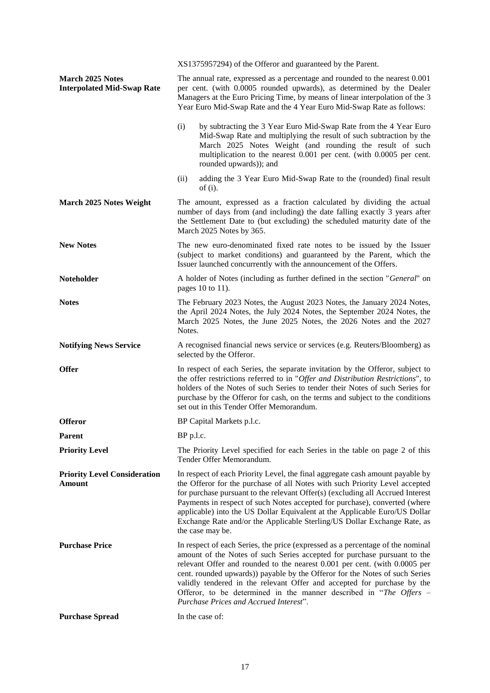|                                                              | XS1375957294) of the Offeror and guaranteed by the Parent.                                                                                                                                                                                                                                                                                                                                                                                                                                                         |
|--------------------------------------------------------------|--------------------------------------------------------------------------------------------------------------------------------------------------------------------------------------------------------------------------------------------------------------------------------------------------------------------------------------------------------------------------------------------------------------------------------------------------------------------------------------------------------------------|
| <b>March 2025 Notes</b><br><b>Interpolated Mid-Swap Rate</b> | The annual rate, expressed as a percentage and rounded to the nearest 0.001<br>per cent. (with 0.0005 rounded upwards), as determined by the Dealer<br>Managers at the Euro Pricing Time, by means of linear interpolation of the 3<br>Year Euro Mid-Swap Rate and the 4 Year Euro Mid-Swap Rate as follows:                                                                                                                                                                                                       |
|                                                              | (i)<br>by subtracting the 3 Year Euro Mid-Swap Rate from the 4 Year Euro<br>Mid-Swap Rate and multiplying the result of such subtraction by the<br>March 2025 Notes Weight (and rounding the result of such<br>multiplication to the nearest 0.001 per cent. (with 0.0005 per cent.<br>rounded upwards)); and                                                                                                                                                                                                      |
|                                                              | adding the 3 Year Euro Mid-Swap Rate to the (rounded) final result<br>(ii)<br>of $(i)$ .                                                                                                                                                                                                                                                                                                                                                                                                                           |
| March 2025 Notes Weight                                      | The amount, expressed as a fraction calculated by dividing the actual<br>number of days from (and including) the date falling exactly 3 years after<br>the Settlement Date to (but excluding) the scheduled maturity date of the<br>March 2025 Notes by 365.                                                                                                                                                                                                                                                       |
| <b>New Notes</b>                                             | The new euro-denominated fixed rate notes to be issued by the Issuer<br>(subject to market conditions) and guaranteed by the Parent, which the<br>Issuer launched concurrently with the announcement of the Offers.                                                                                                                                                                                                                                                                                                |
| <b>Noteholder</b>                                            | A holder of Notes (including as further defined in the section "General" on<br>pages 10 to 11).                                                                                                                                                                                                                                                                                                                                                                                                                    |
| <b>Notes</b>                                                 | The February 2023 Notes, the August 2023 Notes, the January 2024 Notes,<br>the April 2024 Notes, the July 2024 Notes, the September 2024 Notes, the<br>March 2025 Notes, the June 2025 Notes, the 2026 Notes and the 2027<br>Notes.                                                                                                                                                                                                                                                                                |
| <b>Notifying News Service</b>                                | A recognised financial news service or services (e.g. Reuters/Bloomberg) as                                                                                                                                                                                                                                                                                                                                                                                                                                        |
|                                                              | selected by the Offeror.                                                                                                                                                                                                                                                                                                                                                                                                                                                                                           |
| <b>Offer</b>                                                 | In respect of each Series, the separate invitation by the Offeror, subject to<br>the offer restrictions referred to in "Offer and Distribution Restrictions", to<br>holders of the Notes of such Series to tender their Notes of such Series for<br>purchase by the Offeror for cash, on the terms and subject to the conditions<br>set out in this Tender Offer Memorandum.                                                                                                                                       |
| <b>Offeror</b>                                               | BP Capital Markets p.l.c.                                                                                                                                                                                                                                                                                                                                                                                                                                                                                          |
| Parent                                                       | BP p.l.c.                                                                                                                                                                                                                                                                                                                                                                                                                                                                                                          |
| <b>Priority Level</b>                                        | The Priority Level specified for each Series in the table on page 2 of this<br>Tender Offer Memorandum.                                                                                                                                                                                                                                                                                                                                                                                                            |
| <b>Priority Level Consideration</b><br>Amount                | In respect of each Priority Level, the final aggregate cash amount payable by<br>the Offeror for the purchase of all Notes with such Priority Level accepted<br>for purchase pursuant to the relevant Offer(s) (excluding all Accrued Interest<br>Payments in respect of such Notes accepted for purchase), converted (where<br>applicable) into the US Dollar Equivalent at the Applicable Euro/US Dollar<br>Exchange Rate and/or the Applicable Sterling/US Dollar Exchange Rate, as<br>the case may be.         |
| <b>Purchase Price</b>                                        | In respect of each Series, the price (expressed as a percentage of the nominal<br>amount of the Notes of such Series accepted for purchase pursuant to the<br>relevant Offer and rounded to the nearest 0.001 per cent. (with 0.0005 per<br>cent. rounded upwards)) payable by the Offeror for the Notes of such Series<br>validly tendered in the relevant Offer and accepted for purchase by the<br>Offeror, to be determined in the manner described in "The Offers –<br>Purchase Prices and Accrued Interest". |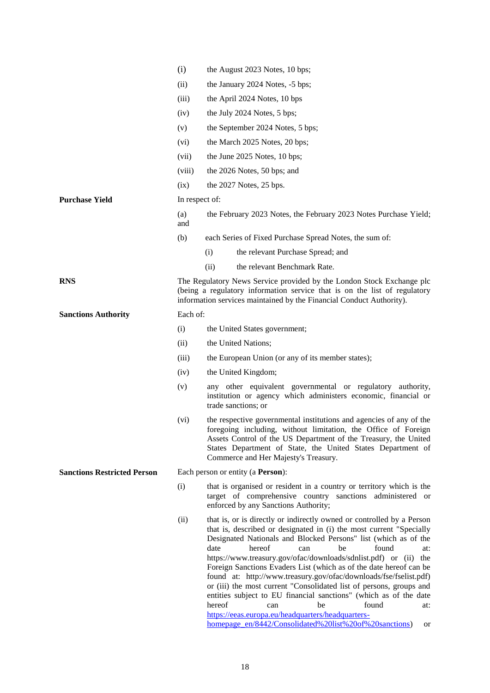|                                    | (i)            | the August 2023 Notes, 10 bps;                                                                                                                                                                                                                                                                                                                                                                                                                                                                                                                                                                                                                                                                                        |  |  |  |
|------------------------------------|----------------|-----------------------------------------------------------------------------------------------------------------------------------------------------------------------------------------------------------------------------------------------------------------------------------------------------------------------------------------------------------------------------------------------------------------------------------------------------------------------------------------------------------------------------------------------------------------------------------------------------------------------------------------------------------------------------------------------------------------------|--|--|--|
|                                    | (ii)           | the January 2024 Notes, -5 bps;                                                                                                                                                                                                                                                                                                                                                                                                                                                                                                                                                                                                                                                                                       |  |  |  |
|                                    | (iii)          | the April 2024 Notes, 10 bps                                                                                                                                                                                                                                                                                                                                                                                                                                                                                                                                                                                                                                                                                          |  |  |  |
|                                    | (iv)           | the July 2024 Notes, 5 bps;                                                                                                                                                                                                                                                                                                                                                                                                                                                                                                                                                                                                                                                                                           |  |  |  |
|                                    | (v)            | the September 2024 Notes, 5 bps;                                                                                                                                                                                                                                                                                                                                                                                                                                                                                                                                                                                                                                                                                      |  |  |  |
|                                    | (vi)           | the March 2025 Notes, 20 bps;                                                                                                                                                                                                                                                                                                                                                                                                                                                                                                                                                                                                                                                                                         |  |  |  |
|                                    | (vii)          | the June 2025 Notes, 10 bps;                                                                                                                                                                                                                                                                                                                                                                                                                                                                                                                                                                                                                                                                                          |  |  |  |
|                                    | (viii)         | the 2026 Notes, 50 bps; and                                                                                                                                                                                                                                                                                                                                                                                                                                                                                                                                                                                                                                                                                           |  |  |  |
|                                    | (ix)           | the 2027 Notes, 25 bps.                                                                                                                                                                                                                                                                                                                                                                                                                                                                                                                                                                                                                                                                                               |  |  |  |
| <b>Purchase Yield</b>              | In respect of: |                                                                                                                                                                                                                                                                                                                                                                                                                                                                                                                                                                                                                                                                                                                       |  |  |  |
|                                    | (a)<br>and     | the February 2023 Notes, the February 2023 Notes Purchase Yield;                                                                                                                                                                                                                                                                                                                                                                                                                                                                                                                                                                                                                                                      |  |  |  |
|                                    | (b)            | each Series of Fixed Purchase Spread Notes, the sum of:                                                                                                                                                                                                                                                                                                                                                                                                                                                                                                                                                                                                                                                               |  |  |  |
|                                    |                | the relevant Purchase Spread; and<br>(i)                                                                                                                                                                                                                                                                                                                                                                                                                                                                                                                                                                                                                                                                              |  |  |  |
|                                    |                | the relevant Benchmark Rate.<br>(ii)                                                                                                                                                                                                                                                                                                                                                                                                                                                                                                                                                                                                                                                                                  |  |  |  |
| <b>RNS</b>                         |                | The Regulatory News Service provided by the London Stock Exchange plc<br>(being a regulatory information service that is on the list of regulatory<br>information services maintained by the Financial Conduct Authority).                                                                                                                                                                                                                                                                                                                                                                                                                                                                                            |  |  |  |
| <b>Sanctions Authority</b>         | Each of:       |                                                                                                                                                                                                                                                                                                                                                                                                                                                                                                                                                                                                                                                                                                                       |  |  |  |
|                                    | (i)            | the United States government;                                                                                                                                                                                                                                                                                                                                                                                                                                                                                                                                                                                                                                                                                         |  |  |  |
|                                    | (ii)           | the United Nations;                                                                                                                                                                                                                                                                                                                                                                                                                                                                                                                                                                                                                                                                                                   |  |  |  |
|                                    | (iii)          | the European Union (or any of its member states);                                                                                                                                                                                                                                                                                                                                                                                                                                                                                                                                                                                                                                                                     |  |  |  |
|                                    | (iv)           | the United Kingdom;                                                                                                                                                                                                                                                                                                                                                                                                                                                                                                                                                                                                                                                                                                   |  |  |  |
|                                    | (v)            | any other equivalent governmental or regulatory authority,<br>institution or agency which administers economic, financial or<br>trade sanctions; or                                                                                                                                                                                                                                                                                                                                                                                                                                                                                                                                                                   |  |  |  |
|                                    | $(v_i)$        | the respective governmental institutions and agencies of any of the<br>foregoing including, without limitation, the Office of Foreign<br>Assets Control of the US Department of the Treasury, the United<br>States Department of State, the United States Department of<br>Commerce and Her Majesty's Treasury.                                                                                                                                                                                                                                                                                                                                                                                                       |  |  |  |
| <b>Sanctions Restricted Person</b> |                | Each person or entity (a <b>Person</b> ):                                                                                                                                                                                                                                                                                                                                                                                                                                                                                                                                                                                                                                                                             |  |  |  |
|                                    | (i)            | that is organised or resident in a country or territory which is the<br>target of comprehensive country sanctions administered or<br>enforced by any Sanctions Authority;                                                                                                                                                                                                                                                                                                                                                                                                                                                                                                                                             |  |  |  |
|                                    | (ii)           | that is, or is directly or indirectly owned or controlled by a Person<br>that is, described or designated in (i) the most current "Specially<br>Designated Nationals and Blocked Persons" list (which as of the<br>hereof<br>found<br>date<br>can<br>be<br>at:<br>https://www.treasury.gov/ofac/downloads/sdnlist.pdf) or (ii) the<br>Foreign Sanctions Evaders List (which as of the date hereof can be<br>found at: http://www.treasury.gov/ofac/downloads/fse/fselist.pdf)<br>or (iii) the most current "Consolidated list of persons, groups and<br>entities subject to EU financial sanctions" (which as of the date<br>hereof<br>found<br>be<br>can<br>at:<br>https://eeas.europa.eu/headquarters/headquarters- |  |  |  |

[homepage\\_en/8442/Consolidated%20list%20of%20sanctions\)](https://eeas.europa.eu/headquarters/headquarters-homepage_en/8442/Consolidated%20list%20of%20sanctions) or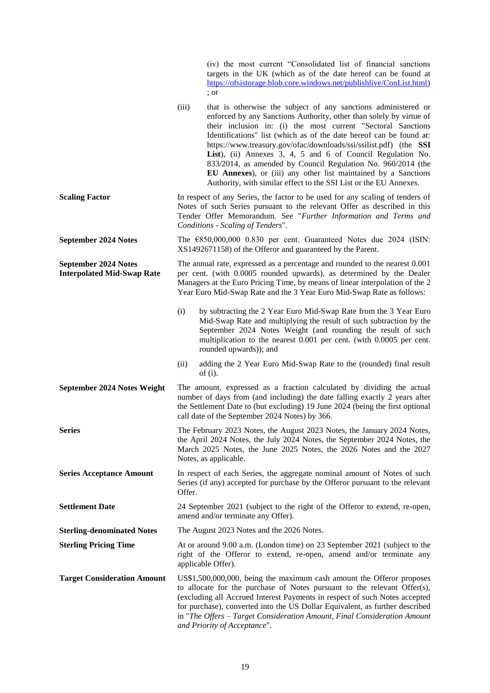|                                                                  | (iv) the most current "Consolidated list of financial sanctions<br>targets in the UK (which as of the date hereof can be found at<br>https://ofsistorage.blob.core.windows.net/publishlive/ConList.html)<br>; or                                                                                                                                                                                                                                                                                                                                                                                                                 |
|------------------------------------------------------------------|----------------------------------------------------------------------------------------------------------------------------------------------------------------------------------------------------------------------------------------------------------------------------------------------------------------------------------------------------------------------------------------------------------------------------------------------------------------------------------------------------------------------------------------------------------------------------------------------------------------------------------|
|                                                                  | (iii)<br>that is otherwise the subject of any sanctions administered or<br>enforced by any Sanctions Authority, other than solely by virtue of<br>their inclusion in: (i) the most current "Sectoral Sanctions<br>Identifications" list (which as of the date hereof can be found at:<br>https://www.treasury.gov/ofac/downloads/ssi/ssilist.pdf) (the SSI<br>List), (ii) Annexes 3, 4, 5 and 6 of Council Regulation No.<br>833/2014, as amended by Council Regulation No. 960/2014 (the<br>EU Annexes), or (iii) any other list maintained by a Sanctions<br>Authority, with similar effect to the SSI List or the EU Annexes. |
| <b>Scaling Factor</b>                                            | In respect of any Series, the factor to be used for any scaling of tenders of<br>Notes of such Series pursuant to the relevant Offer as described in this<br>Tender Offer Memorandum. See "Further Information and Terms and<br>Conditions - Scaling of Tenders".                                                                                                                                                                                                                                                                                                                                                                |
| <b>September 2024 Notes</b>                                      | The $\epsilon$ 850,000,000 0.830 per cent. Guaranteed Notes due 2024 (ISIN:<br>XS1492671158) of the Offeror and guaranteed by the Parent.                                                                                                                                                                                                                                                                                                                                                                                                                                                                                        |
| <b>September 2024 Notes</b><br><b>Interpolated Mid-Swap Rate</b> | The annual rate, expressed as a percentage and rounded to the nearest 0.001<br>per cent. (with 0.0005 rounded upwards), as determined by the Dealer<br>Managers at the Euro Pricing Time, by means of linear interpolation of the 2<br>Year Euro Mid-Swap Rate and the 3 Year Euro Mid-Swap Rate as follows:                                                                                                                                                                                                                                                                                                                     |
|                                                                  | (i)<br>by subtracting the 2 Year Euro Mid-Swap Rate from the 3 Year Euro<br>Mid-Swap Rate and multiplying the result of such subtraction by the<br>September 2024 Notes Weight (and rounding the result of such<br>multiplication to the nearest 0.001 per cent. (with 0.0005 per cent.<br>rounded upwards)); and                                                                                                                                                                                                                                                                                                                |
|                                                                  | adding the 2 Year Euro Mid-Swap Rate to the (rounded) final result<br>(ii)<br>of $(i)$ .                                                                                                                                                                                                                                                                                                                                                                                                                                                                                                                                         |
| September 2024 Notes Weight                                      | The amount, expressed as a fraction calculated by dividing the actual<br>number of days from (and including) the date falling exactly 2 years after<br>the Settlement Date to (but excluding) 19 June 2024 (being the first optional<br>call date of the September 2024 Notes) by 366.                                                                                                                                                                                                                                                                                                                                           |
| <b>Series</b>                                                    | The February 2023 Notes, the August 2023 Notes, the January 2024 Notes,<br>the April 2024 Notes, the July 2024 Notes, the September 2024 Notes, the<br>March 2025 Notes, the June 2025 Notes, the 2026 Notes and the 2027<br>Notes, as applicable.                                                                                                                                                                                                                                                                                                                                                                               |
| <b>Series Acceptance Amount</b>                                  | In respect of each Series, the aggregate nominal amount of Notes of such<br>Series (if any) accepted for purchase by the Offeror pursuant to the relevant<br>Offer.                                                                                                                                                                                                                                                                                                                                                                                                                                                              |
| <b>Settlement Date</b>                                           | 24 September 2021 (subject to the right of the Offeror to extend, re-open,<br>amend and/or terminate any Offer).                                                                                                                                                                                                                                                                                                                                                                                                                                                                                                                 |
| <b>Sterling-denominated Notes</b>                                | The August 2023 Notes and the 2026 Notes.                                                                                                                                                                                                                                                                                                                                                                                                                                                                                                                                                                                        |
| <b>Sterling Pricing Time</b>                                     | At or around 9.00 a.m. (London time) on 23 September 2021 (subject to the<br>right of the Offeror to extend, re-open, amend and/or terminate any<br>applicable Offer).                                                                                                                                                                                                                                                                                                                                                                                                                                                           |
| <b>Target Consideration Amount</b>                               | US\$1,500,000,000, being the maximum cash amount the Offeror proposes<br>to allocate for the purchase of Notes pursuant to the relevant Offer(s),<br>(excluding all Accrued Interest Payments in respect of such Notes accepted<br>for purchase), converted into the US Dollar Equivalent, as further described<br>in "The Offers - Target Consideration Amount, Final Consideration Amount<br>and Priority of Acceptance".                                                                                                                                                                                                      |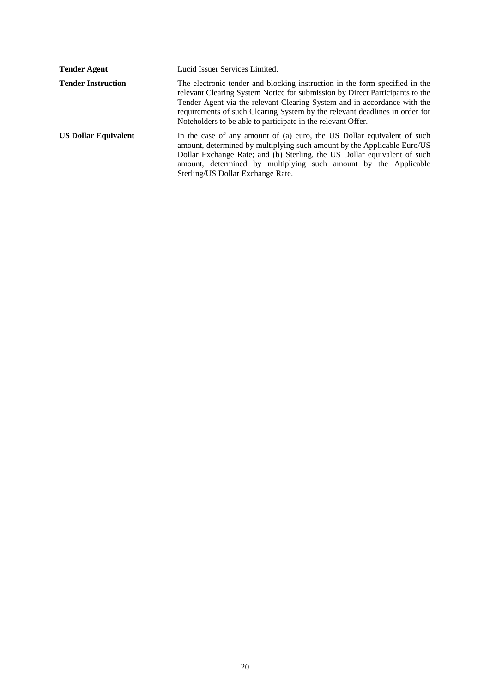| <b>Tender Agent</b>         | Lucid Issuer Services Limited.                                                                                                                                                                                                                                                                                                                                                         |
|-----------------------------|----------------------------------------------------------------------------------------------------------------------------------------------------------------------------------------------------------------------------------------------------------------------------------------------------------------------------------------------------------------------------------------|
| <b>Tender Instruction</b>   | The electronic tender and blocking instruction in the form specified in the<br>relevant Clearing System Notice for submission by Direct Participants to the<br>Tender Agent via the relevant Clearing System and in accordance with the<br>requirements of such Clearing System by the relevant deadlines in order for<br>Noteholders to be able to participate in the relevant Offer. |
| <b>US Dollar Equivalent</b> | In the case of any amount of (a) euro, the US Dollar equivalent of such<br>amount, determined by multiplying such amount by the Applicable Euro/US<br>Dollar Exchange Rate; and (b) Sterling, the US Dollar equivalent of such<br>amount, determined by multiplying such amount by the Applicable<br>Sterling/US Dollar Exchange Rate.                                                 |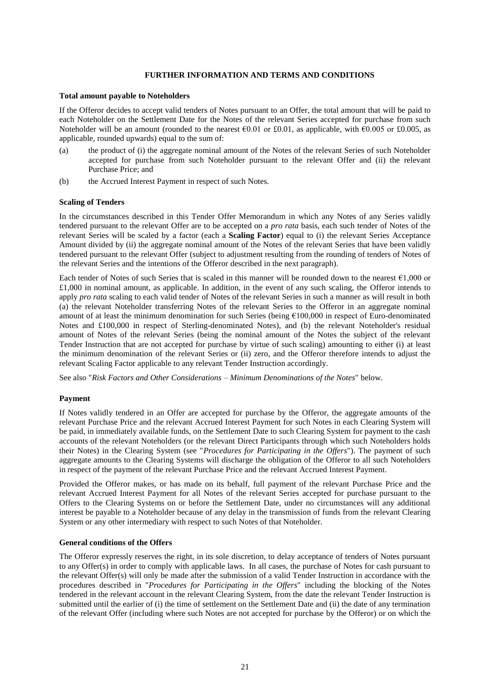#### **FURTHER INFORMATION AND TERMS AND CONDITIONS**

#### **Total amount payable to Noteholders**

If the Offeror decides to accept valid tenders of Notes pursuant to an Offer, the total amount that will be paid to each Noteholder on the Settlement Date for the Notes of the relevant Series accepted for purchase from such Noteholder will be an amount (rounded to the nearest  $\epsilon$ 0.01 or £0.01, as applicable, with  $\epsilon$ 0.005 or £0.005, as applicable, rounded upwards) equal to the sum of:

- (a) the product of (i) the aggregate nominal amount of the Notes of the relevant Series of such Noteholder accepted for purchase from such Noteholder pursuant to the relevant Offer and (ii) the relevant Purchase Price; and
- (b) the Accrued Interest Payment in respect of such Notes.

#### **Scaling of Tenders**

In the circumstances described in this Tender Offer Memorandum in which any Notes of any Series validly tendered pursuant to the relevant Offer are to be accepted on a *pro rata* basis, each such tender of Notes of the relevant Series will be scaled by a factor (each a **Scaling Factor**) equal to (i) the relevant Series Acceptance Amount divided by (ii) the aggregate nominal amount of the Notes of the relevant Series that have been validly tendered pursuant to the relevant Offer (subject to adjustment resulting from the rounding of tenders of Notes of the relevant Series and the intentions of the Offeror described in the next paragraph).

Each tender of Notes of such Series that is scaled in this manner will be rounded down to the nearest €1,000 or  $£1,000$  in nominal amount, as applicable. In addition, in the event of any such scaling, the Offeror intends to apply *pro rata* scaling to each valid tender of Notes of the relevant Series in such a manner as will result in both (a) the relevant Noteholder transferring Notes of the relevant Series to the Offeror in an aggregate nominal amount of at least the minimum denomination for such Series (being €100,000 in respect of Euro-denominated Notes and £100,000 in respect of Sterling-denominated Notes), and (b) the relevant Noteholder's residual amount of Notes of the relevant Series (being the nominal amount of the Notes the subject of the relevant Tender Instruction that are not accepted for purchase by virtue of such scaling) amounting to either (i) at least the minimum denomination of the relevant Series or (ii) zero, and the Offeror therefore intends to adjust the relevant Scaling Factor applicable to any relevant Tender Instruction accordingly.

See also "*Risk Factors and Other Considerations – Minimum Denominations of the Notes*" below.

## **Payment**

If Notes validly tendered in an Offer are accepted for purchase by the Offeror, the aggregate amounts of the relevant Purchase Price and the relevant Accrued Interest Payment for such Notes in each Clearing System will be paid, in immediately available funds, on the Settlement Date to such Clearing System for payment to the cash accounts of the relevant Noteholders (or the relevant Direct Participants through which such Noteholders holds their Notes) in the Clearing System (see "*Procedures for Participating in the Offers*"). The payment of such aggregate amounts to the Clearing Systems will discharge the obligation of the Offeror to all such Noteholders in respect of the payment of the relevant Purchase Price and the relevant Accrued Interest Payment.

Provided the Offeror makes, or has made on its behalf, full payment of the relevant Purchase Price and the relevant Accrued Interest Payment for all Notes of the relevant Series accepted for purchase pursuant to the Offers to the Clearing Systems on or before the Settlement Date, under no circumstances will any additional interest be payable to a Noteholder because of any delay in the transmission of funds from the relevant Clearing System or any other intermediary with respect to such Notes of that Noteholder.

#### **General conditions of the Offers**

The Offeror expressly reserves the right, in its sole discretion, to delay acceptance of tenders of Notes pursuant to any Offer(s) in order to comply with applicable laws. In all cases, the purchase of Notes for cash pursuant to the relevant Offer(s) will only be made after the submission of a valid Tender Instruction in accordance with the procedures described in "*Procedures for Participating in the Offers*" including the blocking of the Notes tendered in the relevant account in the relevant Clearing System, from the date the relevant Tender Instruction is submitted until the earlier of (i) the time of settlement on the Settlement Date and (ii) the date of any termination of the relevant Offer (including where such Notes are not accepted for purchase by the Offeror) or on which the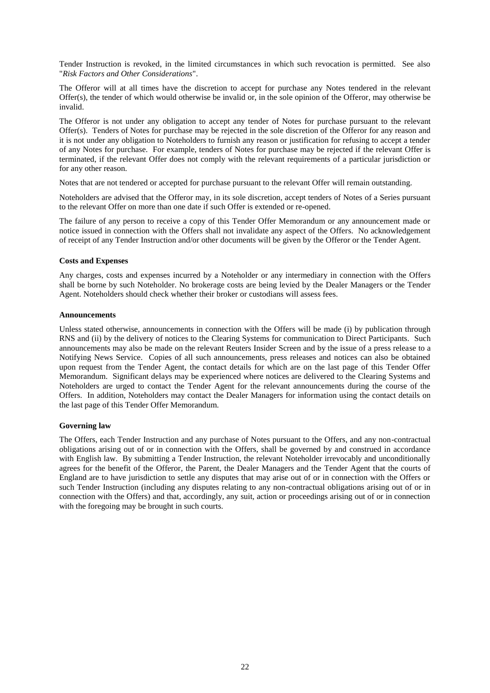Tender Instruction is revoked, in the limited circumstances in which such revocation is permitted. See also "*Risk Factors and Other Considerations*".

The Offeror will at all times have the discretion to accept for purchase any Notes tendered in the relevant Offer(s), the tender of which would otherwise be invalid or, in the sole opinion of the Offeror, may otherwise be invalid.

The Offeror is not under any obligation to accept any tender of Notes for purchase pursuant to the relevant Offer(s). Tenders of Notes for purchase may be rejected in the sole discretion of the Offeror for any reason and it is not under any obligation to Noteholders to furnish any reason or justification for refusing to accept a tender of any Notes for purchase. For example, tenders of Notes for purchase may be rejected if the relevant Offer is terminated, if the relevant Offer does not comply with the relevant requirements of a particular jurisdiction or for any other reason.

Notes that are not tendered or accepted for purchase pursuant to the relevant Offer will remain outstanding.

Noteholders are advised that the Offeror may, in its sole discretion, accept tenders of Notes of a Series pursuant to the relevant Offer on more than one date if such Offer is extended or re-opened.

The failure of any person to receive a copy of this Tender Offer Memorandum or any announcement made or notice issued in connection with the Offers shall not invalidate any aspect of the Offers. No acknowledgement of receipt of any Tender Instruction and/or other documents will be given by the Offeror or the Tender Agent.

#### **Costs and Expenses**

Any charges, costs and expenses incurred by a Noteholder or any intermediary in connection with the Offers shall be borne by such Noteholder. No brokerage costs are being levied by the Dealer Managers or the Tender Agent. Noteholders should check whether their broker or custodians will assess fees.

## **Announcements**

Unless stated otherwise, announcements in connection with the Offers will be made (i) by publication through RNS and (ii) by the delivery of notices to the Clearing Systems for communication to Direct Participants. Such announcements may also be made on the relevant Reuters Insider Screen and by the issue of a press release to a Notifying News Service. Copies of all such announcements, press releases and notices can also be obtained upon request from the Tender Agent, the contact details for which are on the last page of this Tender Offer Memorandum. Significant delays may be experienced where notices are delivered to the Clearing Systems and Noteholders are urged to contact the Tender Agent for the relevant announcements during the course of the Offers. In addition, Noteholders may contact the Dealer Managers for information using the contact details on the last page of this Tender Offer Memorandum.

## **Governing law**

The Offers, each Tender Instruction and any purchase of Notes pursuant to the Offers, and any non-contractual obligations arising out of or in connection with the Offers, shall be governed by and construed in accordance with English law. By submitting a Tender Instruction, the relevant Noteholder irrevocably and unconditionally agrees for the benefit of the Offeror, the Parent, the Dealer Managers and the Tender Agent that the courts of England are to have jurisdiction to settle any disputes that may arise out of or in connection with the Offers or such Tender Instruction (including any disputes relating to any non-contractual obligations arising out of or in connection with the Offers) and that, accordingly, any suit, action or proceedings arising out of or in connection with the foregoing may be brought in such courts.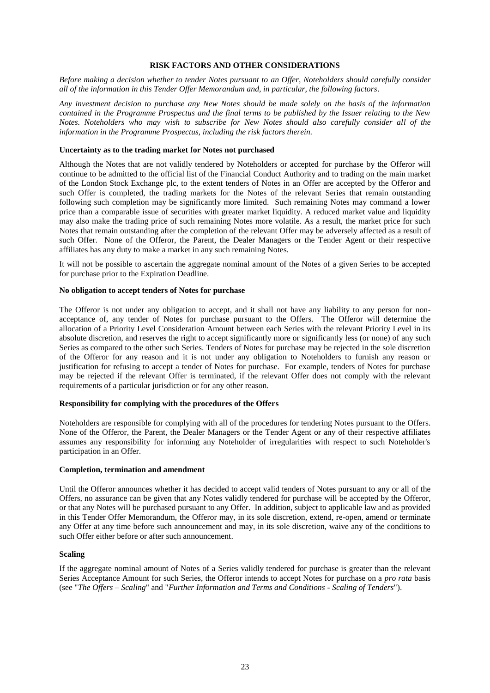## **RISK FACTORS AND OTHER CONSIDERATIONS**

*Before making a decision whether to tender Notes pursuant to an Offer, Noteholders should carefully consider all of the information in this Tender Offer Memorandum and, in particular, the following factors.*

*Any investment decision to purchase any New Notes should be made solely on the basis of the information contained in the Programme Prospectus and the final terms to be published by the Issuer relating to the New Notes. Noteholders who may wish to subscribe for New Notes should also carefully consider all of the information in the Programme Prospectus, including the risk factors therein.*

## **Uncertainty as to the trading market for Notes not purchased**

Although the Notes that are not validly tendered by Noteholders or accepted for purchase by the Offeror will continue to be admitted to the official list of the Financial Conduct Authority and to trading on the main market of the London Stock Exchange plc, to the extent tenders of Notes in an Offer are accepted by the Offeror and such Offer is completed, the trading markets for the Notes of the relevant Series that remain outstanding following such completion may be significantly more limited. Such remaining Notes may command a lower price than a comparable issue of securities with greater market liquidity. A reduced market value and liquidity may also make the trading price of such remaining Notes more volatile. As a result, the market price for such Notes that remain outstanding after the completion of the relevant Offer may be adversely affected as a result of such Offer. None of the Offeror, the Parent, the Dealer Managers or the Tender Agent or their respective affiliates has any duty to make a market in any such remaining Notes.

It will not be possible to ascertain the aggregate nominal amount of the Notes of a given Series to be accepted for purchase prior to the Expiration Deadline.

#### **No obligation to accept tenders of Notes for purchase**

The Offeror is not under any obligation to accept, and it shall not have any liability to any person for nonacceptance of, any tender of Notes for purchase pursuant to the Offers. The Offeror will determine the allocation of a Priority Level Consideration Amount between each Series with the relevant Priority Level in its absolute discretion, and reserves the right to accept significantly more or significantly less (or none) of any such Series as compared to the other such Series. Tenders of Notes for purchase may be rejected in the sole discretion of the Offeror for any reason and it is not under any obligation to Noteholders to furnish any reason or justification for refusing to accept a tender of Notes for purchase. For example, tenders of Notes for purchase may be rejected if the relevant Offer is terminated, if the relevant Offer does not comply with the relevant requirements of a particular jurisdiction or for any other reason.

#### **Responsibility for complying with the procedures of the Offers**

Noteholders are responsible for complying with all of the procedures for tendering Notes pursuant to the Offers. None of the Offeror, the Parent, the Dealer Managers or the Tender Agent or any of their respective affiliates assumes any responsibility for informing any Noteholder of irregularities with respect to such Noteholder's participation in an Offer.

#### **Completion, termination and amendment**

Until the Offeror announces whether it has decided to accept valid tenders of Notes pursuant to any or all of the Offers, no assurance can be given that any Notes validly tendered for purchase will be accepted by the Offeror, or that any Notes will be purchased pursuant to any Offer. In addition, subject to applicable law and as provided in this Tender Offer Memorandum, the Offeror may, in its sole discretion, extend, re-open, amend or terminate any Offer at any time before such announcement and may, in its sole discretion, waive any of the conditions to such Offer either before or after such announcement.

#### **Scaling**

If the aggregate nominal amount of Notes of a Series validly tendered for purchase is greater than the relevant Series Acceptance Amount for such Series, the Offeror intends to accept Notes for purchase on a *pro rata* basis (see "*The Offers – Scaling*" and "*Further Information and Terms and Conditions - Scaling of Tenders*").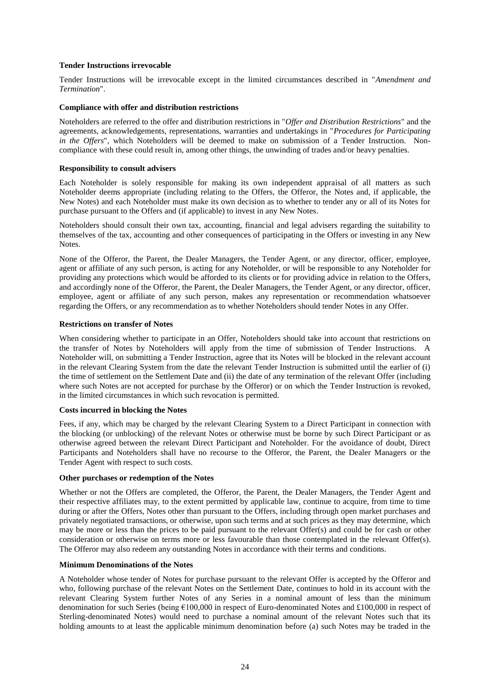## **Tender Instructions irrevocable**

Tender Instructions will be irrevocable except in the limited circumstances described in "*Amendment and Termination*".

## **Compliance with offer and distribution restrictions**

Noteholders are referred to the offer and distribution restrictions in "*Offer and Distribution Restrictions*" and the agreements, acknowledgements, representations, warranties and undertakings in "*Procedures for Participating in the Offers*", which Noteholders will be deemed to make on submission of a Tender Instruction. Noncompliance with these could result in, among other things, the unwinding of trades and/or heavy penalties.

#### **Responsibility to consult advisers**

Each Noteholder is solely responsible for making its own independent appraisal of all matters as such Noteholder deems appropriate (including relating to the Offers, the Offeror, the Notes and, if applicable, the New Notes) and each Noteholder must make its own decision as to whether to tender any or all of its Notes for purchase pursuant to the Offers and (if applicable) to invest in any New Notes.

Noteholders should consult their own tax, accounting, financial and legal advisers regarding the suitability to themselves of the tax, accounting and other consequences of participating in the Offers or investing in any New Notes.

None of the Offeror, the Parent, the Dealer Managers, the Tender Agent, or any director, officer, employee, agent or affiliate of any such person, is acting for any Noteholder, or will be responsible to any Noteholder for providing any protections which would be afforded to its clients or for providing advice in relation to the Offers, and accordingly none of the Offeror, the Parent, the Dealer Managers, the Tender Agent, or any director, officer, employee, agent or affiliate of any such person, makes any representation or recommendation whatsoever regarding the Offers, or any recommendation as to whether Noteholders should tender Notes in any Offer.

## **Restrictions on transfer of Notes**

When considering whether to participate in an Offer, Noteholders should take into account that restrictions on the transfer of Notes by Noteholders will apply from the time of submission of Tender Instructions. A Noteholder will, on submitting a Tender Instruction, agree that its Notes will be blocked in the relevant account in the relevant Clearing System from the date the relevant Tender Instruction is submitted until the earlier of (i) the time of settlement on the Settlement Date and (ii) the date of any termination of the relevant Offer (including where such Notes are not accepted for purchase by the Offeror) or on which the Tender Instruction is revoked, in the limited circumstances in which such revocation is permitted.

## **Costs incurred in blocking the Notes**

Fees, if any, which may be charged by the relevant Clearing System to a Direct Participant in connection with the blocking (or unblocking) of the relevant Notes or otherwise must be borne by such Direct Participant or as otherwise agreed between the relevant Direct Participant and Noteholder. For the avoidance of doubt, Direct Participants and Noteholders shall have no recourse to the Offeror, the Parent, the Dealer Managers or the Tender Agent with respect to such costs.

#### **Other purchases or redemption of the Notes**

Whether or not the Offers are completed, the Offeror, the Parent, the Dealer Managers, the Tender Agent and their respective affiliates may, to the extent permitted by applicable law, continue to acquire, from time to time during or after the Offers, Notes other than pursuant to the Offers, including through open market purchases and privately negotiated transactions, or otherwise, upon such terms and at such prices as they may determine, which may be more or less than the prices to be paid pursuant to the relevant Offer(s) and could be for cash or other consideration or otherwise on terms more or less favourable than those contemplated in the relevant Offer(s). The Offeror may also redeem any outstanding Notes in accordance with their terms and conditions.

#### **Minimum Denominations of the Notes**

A Noteholder whose tender of Notes for purchase pursuant to the relevant Offer is accepted by the Offeror and who, following purchase of the relevant Notes on the Settlement Date, continues to hold in its account with the relevant Clearing System further Notes of any Series in a nominal amount of less than the minimum denomination for such Series (being €100,000 in respect of Euro-denominated Notes and £100,000 in respect of Sterling-denominated Notes) would need to purchase a nominal amount of the relevant Notes such that its holding amounts to at least the applicable minimum denomination before (a) such Notes may be traded in the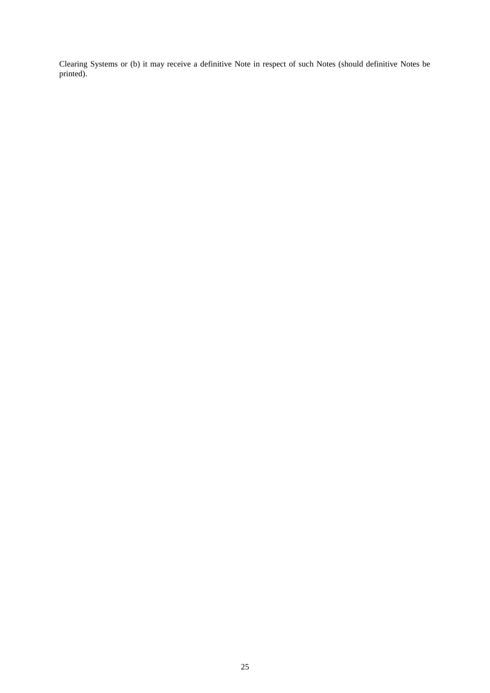Clearing Systems or (b) it may receive a definitive Note in respect of such Notes (should definitive Notes be printed).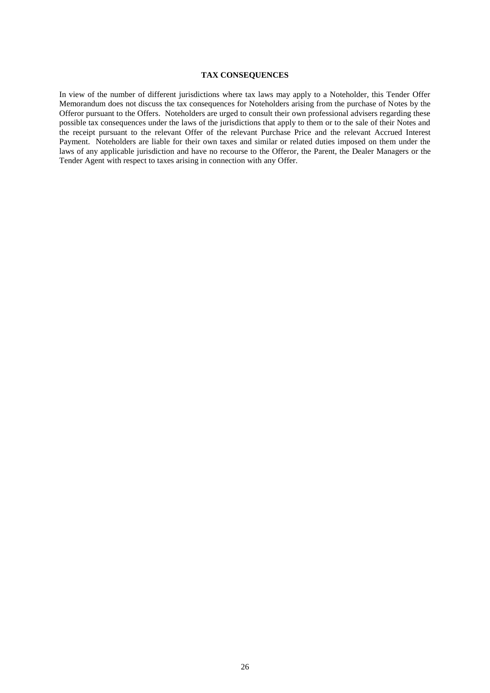## **TAX CONSEQUENCES**

In view of the number of different jurisdictions where tax laws may apply to a Noteholder, this Tender Offer Memorandum does not discuss the tax consequences for Noteholders arising from the purchase of Notes by the Offeror pursuant to the Offers. Noteholders are urged to consult their own professional advisers regarding these possible tax consequences under the laws of the jurisdictions that apply to them or to the sale of their Notes and the receipt pursuant to the relevant Offer of the relevant Purchase Price and the relevant Accrued Interest Payment. Noteholders are liable for their own taxes and similar or related duties imposed on them under the laws of any applicable jurisdiction and have no recourse to the Offeror, the Parent, the Dealer Managers or the Tender Agent with respect to taxes arising in connection with any Offer.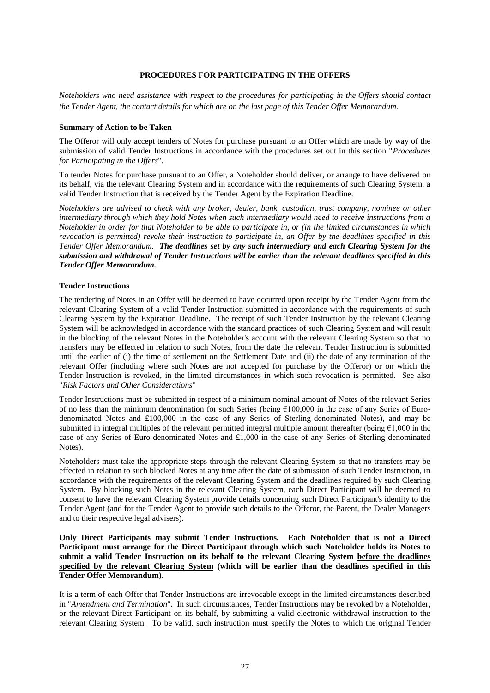#### **PROCEDURES FOR PARTICIPATING IN THE OFFERS**

*Noteholders who need assistance with respect to the procedures for participating in the Offers should contact the Tender Agent, the contact details for which are on the last page of this Tender Offer Memorandum.*

#### **Summary of Action to be Taken**

The Offeror will only accept tenders of Notes for purchase pursuant to an Offer which are made by way of the submission of valid Tender Instructions in accordance with the procedures set out in this section "*Procedures for Participating in the Offers*".

To tender Notes for purchase pursuant to an Offer, a Noteholder should deliver, or arrange to have delivered on its behalf, via the relevant Clearing System and in accordance with the requirements of such Clearing System, a valid Tender Instruction that is received by the Tender Agent by the Expiration Deadline.

*Noteholders are advised to check with any broker, dealer, bank, custodian, trust company, nominee or other intermediary through which they hold Notes when such intermediary would need to receive instructions from a Noteholder in order for that Noteholder to be able to participate in, or (in the limited circumstances in which revocation is permitted) revoke their instruction to participate in, an Offer by the deadlines specified in this Tender Offer Memorandum. The deadlines set by any such intermediary and each Clearing System for the submission and withdrawal of Tender Instructions will be earlier than the relevant deadlines specified in this Tender Offer Memorandum.*

## **Tender Instructions**

The tendering of Notes in an Offer will be deemed to have occurred upon receipt by the Tender Agent from the relevant Clearing System of a valid Tender Instruction submitted in accordance with the requirements of such Clearing System by the Expiration Deadline. The receipt of such Tender Instruction by the relevant Clearing System will be acknowledged in accordance with the standard practices of such Clearing System and will result in the blocking of the relevant Notes in the Noteholder's account with the relevant Clearing System so that no transfers may be effected in relation to such Notes, from the date the relevant Tender Instruction is submitted until the earlier of (i) the time of settlement on the Settlement Date and (ii) the date of any termination of the relevant Offer (including where such Notes are not accepted for purchase by the Offeror) or on which the Tender Instruction is revoked, in the limited circumstances in which such revocation is permitted. See also "*Risk Factors and Other Considerations*"

Tender Instructions must be submitted in respect of a minimum nominal amount of Notes of the relevant Series of no less than the minimum denomination for such Series (being  $\epsilon$ 100,000 in the case of any Series of Eurodenominated Notes and £100,000 in the case of any Series of Sterling-denominated Notes), and may be submitted in integral multiples of the relevant permitted integral multiple amount thereafter (being  $\epsilon$ 1,000 in the case of any Series of Euro-denominated Notes and £1,000 in the case of any Series of Sterling-denominated Notes).

Noteholders must take the appropriate steps through the relevant Clearing System so that no transfers may be effected in relation to such blocked Notes at any time after the date of submission of such Tender Instruction, in accordance with the requirements of the relevant Clearing System and the deadlines required by such Clearing System. By blocking such Notes in the relevant Clearing System, each Direct Participant will be deemed to consent to have the relevant Clearing System provide details concerning such Direct Participant's identity to the Tender Agent (and for the Tender Agent to provide such details to the Offeror, the Parent, the Dealer Managers and to their respective legal advisers).

**Only Direct Participants may submit Tender Instructions. Each Noteholder that is not a Direct Participant must arrange for the Direct Participant through which such Noteholder holds its Notes to submit a valid Tender Instruction on its behalf to the relevant Clearing System before the deadlines specified by the relevant Clearing System (which will be earlier than the deadlines specified in this Tender Offer Memorandum).**

It is a term of each Offer that Tender Instructions are irrevocable except in the limited circumstances described in "*Amendment and Termination*". In such circumstances, Tender Instructions may be revoked by a Noteholder, or the relevant Direct Participant on its behalf, by submitting a valid electronic withdrawal instruction to the relevant Clearing System. To be valid, such instruction must specify the Notes to which the original Tender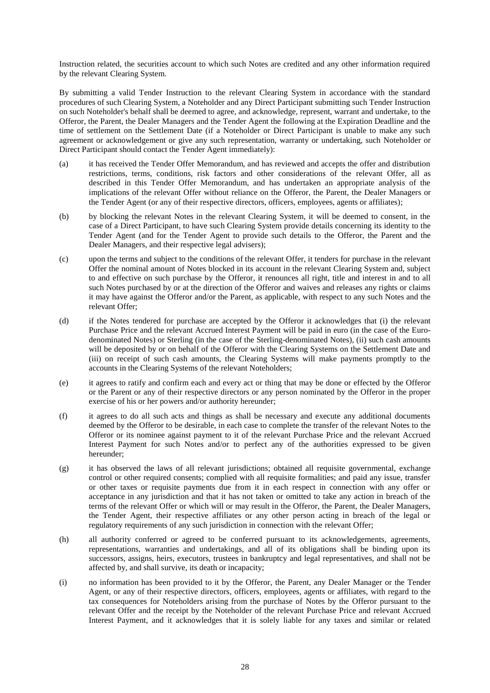Instruction related, the securities account to which such Notes are credited and any other information required by the relevant Clearing System.

By submitting a valid Tender Instruction to the relevant Clearing System in accordance with the standard procedures of such Clearing System, a Noteholder and any Direct Participant submitting such Tender Instruction on such Noteholder's behalf shall be deemed to agree, and acknowledge, represent, warrant and undertake, to the Offeror, the Parent, the Dealer Managers and the Tender Agent the following at the Expiration Deadline and the time of settlement on the Settlement Date (if a Noteholder or Direct Participant is unable to make any such agreement or acknowledgement or give any such representation, warranty or undertaking, such Noteholder or Direct Participant should contact the Tender Agent immediately):

- (a) it has received the Tender Offer Memorandum, and has reviewed and accepts the offer and distribution restrictions, terms, conditions, risk factors and other considerations of the relevant Offer, all as described in this Tender Offer Memorandum, and has undertaken an appropriate analysis of the implications of the relevant Offer without reliance on the Offeror, the Parent, the Dealer Managers or the Tender Agent (or any of their respective directors, officers, employees, agents or affiliates);
- (b) by blocking the relevant Notes in the relevant Clearing System, it will be deemed to consent, in the case of a Direct Participant, to have such Clearing System provide details concerning its identity to the Tender Agent (and for the Tender Agent to provide such details to the Offeror, the Parent and the Dealer Managers, and their respective legal advisers);
- (c) upon the terms and subject to the conditions of the relevant Offer, it tenders for purchase in the relevant Offer the nominal amount of Notes blocked in its account in the relevant Clearing System and, subject to and effective on such purchase by the Offeror, it renounces all right, title and interest in and to all such Notes purchased by or at the direction of the Offeror and waives and releases any rights or claims it may have against the Offeror and/or the Parent, as applicable, with respect to any such Notes and the relevant Offer;
- (d) if the Notes tendered for purchase are accepted by the Offeror it acknowledges that (i) the relevant Purchase Price and the relevant Accrued Interest Payment will be paid in euro (in the case of the Eurodenominated Notes) or Sterling (in the case of the Sterling-denominated Notes), (ii) such cash amounts will be deposited by or on behalf of the Offeror with the Clearing Systems on the Settlement Date and (iii) on receipt of such cash amounts, the Clearing Systems will make payments promptly to the accounts in the Clearing Systems of the relevant Noteholders;
- (e) it agrees to ratify and confirm each and every act or thing that may be done or effected by the Offeror or the Parent or any of their respective directors or any person nominated by the Offeror in the proper exercise of his or her powers and/or authority hereunder;
- (f) it agrees to do all such acts and things as shall be necessary and execute any additional documents deemed by the Offeror to be desirable, in each case to complete the transfer of the relevant Notes to the Offeror or its nominee against payment to it of the relevant Purchase Price and the relevant Accrued Interest Payment for such Notes and/or to perfect any of the authorities expressed to be given hereunder;
- (g) it has observed the laws of all relevant jurisdictions; obtained all requisite governmental, exchange control or other required consents; complied with all requisite formalities; and paid any issue, transfer or other taxes or requisite payments due from it in each respect in connection with any offer or acceptance in any jurisdiction and that it has not taken or omitted to take any action in breach of the terms of the relevant Offer or which will or may result in the Offeror, the Parent, the Dealer Managers, the Tender Agent, their respective affiliates or any other person acting in breach of the legal or regulatory requirements of any such jurisdiction in connection with the relevant Offer;
- (h) all authority conferred or agreed to be conferred pursuant to its acknowledgements, agreements, representations, warranties and undertakings, and all of its obligations shall be binding upon its successors, assigns, heirs, executors, trustees in bankruptcy and legal representatives, and shall not be affected by, and shall survive, its death or incapacity;
- (i) no information has been provided to it by the Offeror, the Parent, any Dealer Manager or the Tender Agent, or any of their respective directors, officers, employees, agents or affiliates, with regard to the tax consequences for Noteholders arising from the purchase of Notes by the Offeror pursuant to the relevant Offer and the receipt by the Noteholder of the relevant Purchase Price and relevant Accrued Interest Payment, and it acknowledges that it is solely liable for any taxes and similar or related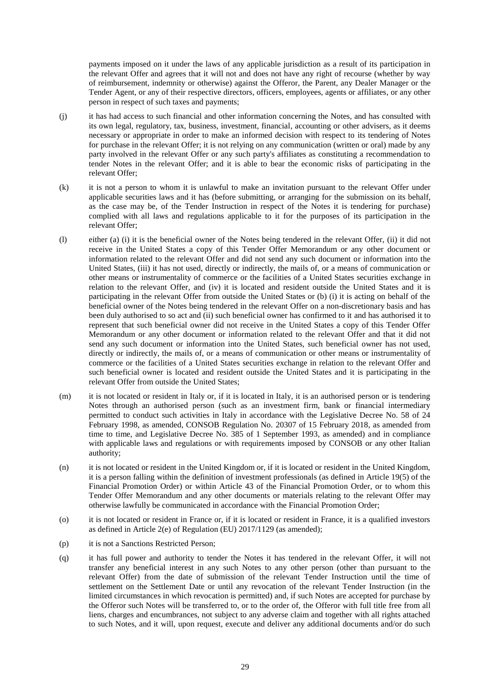payments imposed on it under the laws of any applicable jurisdiction as a result of its participation in the relevant Offer and agrees that it will not and does not have any right of recourse (whether by way of reimbursement, indemnity or otherwise) against the Offeror, the Parent, any Dealer Manager or the Tender Agent, or any of their respective directors, officers, employees, agents or affiliates, or any other person in respect of such taxes and payments;

- (j) it has had access to such financial and other information concerning the Notes, and has consulted with its own legal, regulatory, tax, business, investment, financial, accounting or other advisers, as it deems necessary or appropriate in order to make an informed decision with respect to its tendering of Notes for purchase in the relevant Offer; it is not relying on any communication (written or oral) made by any party involved in the relevant Offer or any such party's affiliates as constituting a recommendation to tender Notes in the relevant Offer; and it is able to bear the economic risks of participating in the relevant Offer;
- (k) it is not a person to whom it is unlawful to make an invitation pursuant to the relevant Offer under applicable securities laws and it has (before submitting, or arranging for the submission on its behalf, as the case may be, of the Tender Instruction in respect of the Notes it is tendering for purchase) complied with all laws and regulations applicable to it for the purposes of its participation in the relevant Offer;
- (l) either (a) (i) it is the beneficial owner of the Notes being tendered in the relevant Offer, (ii) it did not receive in the United States a copy of this Tender Offer Memorandum or any other document or information related to the relevant Offer and did not send any such document or information into the United States, (iii) it has not used, directly or indirectly, the mails of, or a means of communication or other means or instrumentality of commerce or the facilities of a United States securities exchange in relation to the relevant Offer, and (iv) it is located and resident outside the United States and it is participating in the relevant Offer from outside the United States or (b) (i) it is acting on behalf of the beneficial owner of the Notes being tendered in the relevant Offer on a non-discretionary basis and has been duly authorised to so act and (ii) such beneficial owner has confirmed to it and has authorised it to represent that such beneficial owner did not receive in the United States a copy of this Tender Offer Memorandum or any other document or information related to the relevant Offer and that it did not send any such document or information into the United States, such beneficial owner has not used, directly or indirectly, the mails of, or a means of communication or other means or instrumentality of commerce or the facilities of a United States securities exchange in relation to the relevant Offer and such beneficial owner is located and resident outside the United States and it is participating in the relevant Offer from outside the United States;
- (m) it is not located or resident in Italy or, if it is located in Italy, it is an authorised person or is tendering Notes through an authorised person (such as an investment firm, bank or financial intermediary permitted to conduct such activities in Italy in accordance with the Legislative Decree No. 58 of 24 February 1998, as amended, CONSOB Regulation No. 20307 of 15 February 2018, as amended from time to time, and Legislative Decree No. 385 of 1 September 1993, as amended) and in compliance with applicable laws and regulations or with requirements imposed by CONSOB or any other Italian authority;
- (n) it is not located or resident in the United Kingdom or, if it is located or resident in the United Kingdom, it is a person falling within the definition of investment professionals (as defined in Article 19(5) of the Financial Promotion Order) or within Article 43 of the Financial Promotion Order, or to whom this Tender Offer Memorandum and any other documents or materials relating to the relevant Offer may otherwise lawfully be communicated in accordance with the Financial Promotion Order;
- (o) it is not located or resident in France or, if it is located or resident in France, it is a qualified investors as defined in Article 2(e) of Regulation (EU) 2017/1129 (as amended);
- (p) it is not a Sanctions Restricted Person;
- (q) it has full power and authority to tender the Notes it has tendered in the relevant Offer, it will not transfer any beneficial interest in any such Notes to any other person (other than pursuant to the relevant Offer) from the date of submission of the relevant Tender Instruction until the time of settlement on the Settlement Date or until any revocation of the relevant Tender Instruction (in the limited circumstances in which revocation is permitted) and, if such Notes are accepted for purchase by the Offeror such Notes will be transferred to, or to the order of, the Offeror with full title free from all liens, charges and encumbrances, not subject to any adverse claim and together with all rights attached to such Notes, and it will, upon request, execute and deliver any additional documents and/or do such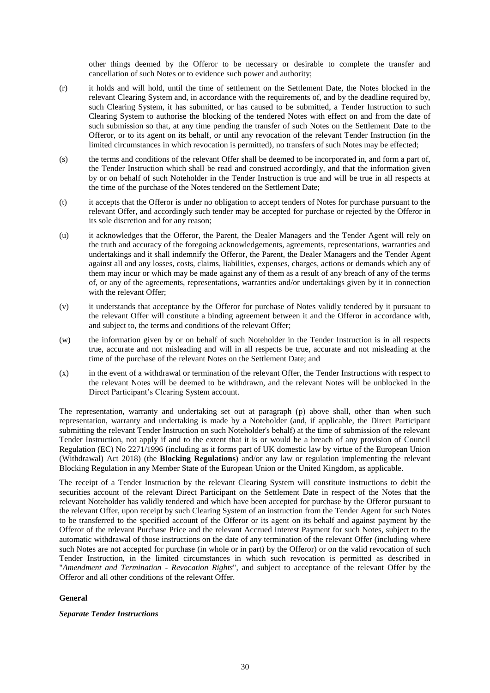other things deemed by the Offeror to be necessary or desirable to complete the transfer and cancellation of such Notes or to evidence such power and authority;

- (r) it holds and will hold, until the time of settlement on the Settlement Date, the Notes blocked in the relevant Clearing System and, in accordance with the requirements of, and by the deadline required by, such Clearing System, it has submitted, or has caused to be submitted, a Tender Instruction to such Clearing System to authorise the blocking of the tendered Notes with effect on and from the date of such submission so that, at any time pending the transfer of such Notes on the Settlement Date to the Offeror, or to its agent on its behalf, or until any revocation of the relevant Tender Instruction (in the limited circumstances in which revocation is permitted), no transfers of such Notes may be effected;
- (s) the terms and conditions of the relevant Offer shall be deemed to be incorporated in, and form a part of, the Tender Instruction which shall be read and construed accordingly, and that the information given by or on behalf of such Noteholder in the Tender Instruction is true and will be true in all respects at the time of the purchase of the Notes tendered on the Settlement Date;
- (t) it accepts that the Offeror is under no obligation to accept tenders of Notes for purchase pursuant to the relevant Offer, and accordingly such tender may be accepted for purchase or rejected by the Offeror in its sole discretion and for any reason;
- (u) it acknowledges that the Offeror, the Parent, the Dealer Managers and the Tender Agent will rely on the truth and accuracy of the foregoing acknowledgements, agreements, representations, warranties and undertakings and it shall indemnify the Offeror, the Parent, the Dealer Managers and the Tender Agent against all and any losses, costs, claims, liabilities, expenses, charges, actions or demands which any of them may incur or which may be made against any of them as a result of any breach of any of the terms of, or any of the agreements, representations, warranties and/or undertakings given by it in connection with the relevant Offer;
- (v) it understands that acceptance by the Offeror for purchase of Notes validly tendered by it pursuant to the relevant Offer will constitute a binding agreement between it and the Offeror in accordance with, and subject to, the terms and conditions of the relevant Offer;
- (w) the information given by or on behalf of such Noteholder in the Tender Instruction is in all respects true, accurate and not misleading and will in all respects be true, accurate and not misleading at the time of the purchase of the relevant Notes on the Settlement Date; and
- (x) in the event of a withdrawal or termination of the relevant Offer, the Tender Instructions with respect to the relevant Notes will be deemed to be withdrawn, and the relevant Notes will be unblocked in the Direct Participant's Clearing System account.

The representation, warranty and undertaking set out at paragraph (p) above shall, other than when such representation, warranty and undertaking is made by a Noteholder (and, if applicable, the Direct Participant submitting the relevant Tender Instruction on such Noteholder's behalf) at the time of submission of the relevant Tender Instruction, not apply if and to the extent that it is or would be a breach of any provision of Council Regulation (EC) No 2271/1996 (including as it forms part of UK domestic law by virtue of the European Union (Withdrawal) Act 2018) (the **Blocking Regulations**) and/or any law or regulation implementing the relevant Blocking Regulation in any Member State of the European Union or the United Kingdom, as applicable.

The receipt of a Tender Instruction by the relevant Clearing System will constitute instructions to debit the securities account of the relevant Direct Participant on the Settlement Date in respect of the Notes that the relevant Noteholder has validly tendered and which have been accepted for purchase by the Offeror pursuant to the relevant Offer, upon receipt by such Clearing System of an instruction from the Tender Agent for such Notes to be transferred to the specified account of the Offeror or its agent on its behalf and against payment by the Offeror of the relevant Purchase Price and the relevant Accrued Interest Payment for such Notes, subject to the automatic withdrawal of those instructions on the date of any termination of the relevant Offer (including where such Notes are not accepted for purchase (in whole or in part) by the Offeror) or on the valid revocation of such Tender Instruction, in the limited circumstances in which such revocation is permitted as described in "*Amendment and Termination - Revocation Rights*", and subject to acceptance of the relevant Offer by the Offeror and all other conditions of the relevant Offer.

## **General**

## *Separate Tender Instructions*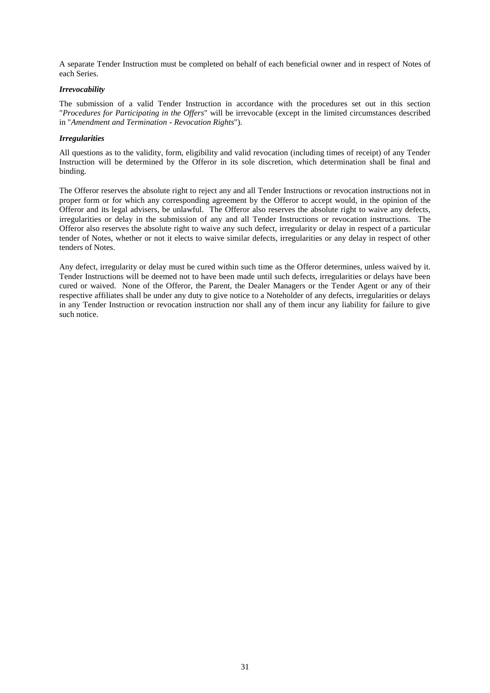A separate Tender Instruction must be completed on behalf of each beneficial owner and in respect of Notes of each Series.

## *Irrevocability*

The submission of a valid Tender Instruction in accordance with the procedures set out in this section "*Procedures for Participating in the Offers*" will be irrevocable (except in the limited circumstances described in "*Amendment and Termination - Revocation Rights*").

## *Irregularities*

All questions as to the validity, form, eligibility and valid revocation (including times of receipt) of any Tender Instruction will be determined by the Offeror in its sole discretion, which determination shall be final and binding.

The Offeror reserves the absolute right to reject any and all Tender Instructions or revocation instructions not in proper form or for which any corresponding agreement by the Offeror to accept would, in the opinion of the Offeror and its legal advisers, be unlawful. The Offeror also reserves the absolute right to waive any defects, irregularities or delay in the submission of any and all Tender Instructions or revocation instructions. The Offeror also reserves the absolute right to waive any such defect, irregularity or delay in respect of a particular tender of Notes, whether or not it elects to waive similar defects, irregularities or any delay in respect of other tenders of Notes.

Any defect, irregularity or delay must be cured within such time as the Offeror determines, unless waived by it. Tender Instructions will be deemed not to have been made until such defects, irregularities or delays have been cured or waived. None of the Offeror, the Parent, the Dealer Managers or the Tender Agent or any of their respective affiliates shall be under any duty to give notice to a Noteholder of any defects, irregularities or delays in any Tender Instruction or revocation instruction nor shall any of them incur any liability for failure to give such notice.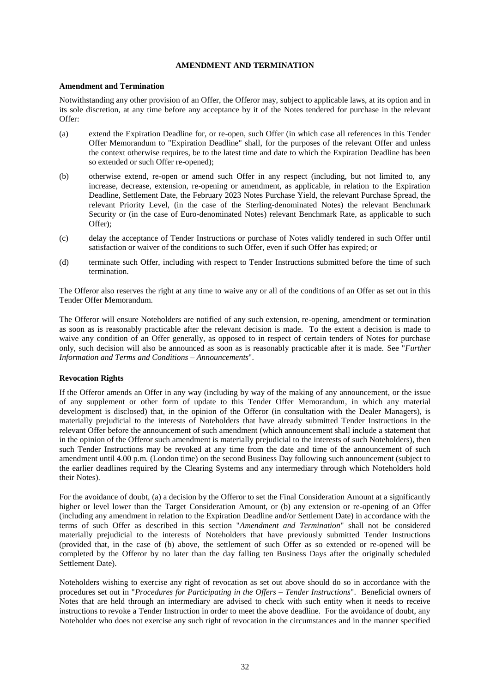## **AMENDMENT AND TERMINATION**

#### **Amendment and Termination**

Notwithstanding any other provision of an Offer, the Offeror may, subject to applicable laws, at its option and in its sole discretion, at any time before any acceptance by it of the Notes tendered for purchase in the relevant Offer:

- (a) extend the Expiration Deadline for, or re-open, such Offer (in which case all references in this Tender Offer Memorandum to "Expiration Deadline" shall, for the purposes of the relevant Offer and unless the context otherwise requires, be to the latest time and date to which the Expiration Deadline has been so extended or such Offer re-opened);
- (b) otherwise extend, re-open or amend such Offer in any respect (including, but not limited to, any increase, decrease, extension, re-opening or amendment, as applicable, in relation to the Expiration Deadline, Settlement Date, the February 2023 Notes Purchase Yield, the relevant Purchase Spread, the relevant Priority Level, (in the case of the Sterling-denominated Notes) the relevant Benchmark Security or (in the case of Euro-denominated Notes) relevant Benchmark Rate, as applicable to such Offer);
- (c) delay the acceptance of Tender Instructions or purchase of Notes validly tendered in such Offer until satisfaction or waiver of the conditions to such Offer, even if such Offer has expired; or
- (d) terminate such Offer, including with respect to Tender Instructions submitted before the time of such termination.

The Offeror also reserves the right at any time to waive any or all of the conditions of an Offer as set out in this Tender Offer Memorandum.

The Offeror will ensure Noteholders are notified of any such extension, re-opening, amendment or termination as soon as is reasonably practicable after the relevant decision is made. To the extent a decision is made to waive any condition of an Offer generally, as opposed to in respect of certain tenders of Notes for purchase only, such decision will also be announced as soon as is reasonably practicable after it is made. See "*Further Information and Terms and Conditions – Announcements*".

## **Revocation Rights**

If the Offeror amends an Offer in any way (including by way of the making of any announcement, or the issue of any supplement or other form of update to this Tender Offer Memorandum, in which any material development is disclosed) that, in the opinion of the Offeror (in consultation with the Dealer Managers), is materially prejudicial to the interests of Noteholders that have already submitted Tender Instructions in the relevant Offer before the announcement of such amendment (which announcement shall include a statement that in the opinion of the Offeror such amendment is materially prejudicial to the interests of such Noteholders), then such Tender Instructions may be revoked at any time from the date and time of the announcement of such amendment until 4.00 p.m. (London time) on the second Business Day following such announcement (subject to the earlier deadlines required by the Clearing Systems and any intermediary through which Noteholders hold their Notes).

For the avoidance of doubt, (a) a decision by the Offeror to set the Final Consideration Amount at a significantly higher or level lower than the Target Consideration Amount, or (b) any extension or re-opening of an Offer (including any amendment in relation to the Expiration Deadline and/or Settlement Date) in accordance with the terms of such Offer as described in this section "*Amendment and Termination*" shall not be considered materially prejudicial to the interests of Noteholders that have previously submitted Tender Instructions (provided that, in the case of (b) above, the settlement of such Offer as so extended or re-opened will be completed by the Offeror by no later than the day falling ten Business Days after the originally scheduled Settlement Date).

Noteholders wishing to exercise any right of revocation as set out above should do so in accordance with the procedures set out in "*Procedures for Participating in the Offers – Tender Instructions*". Beneficial owners of Notes that are held through an intermediary are advised to check with such entity when it needs to receive instructions to revoke a Tender Instruction in order to meet the above deadline. For the avoidance of doubt, any Noteholder who does not exercise any such right of revocation in the circumstances and in the manner specified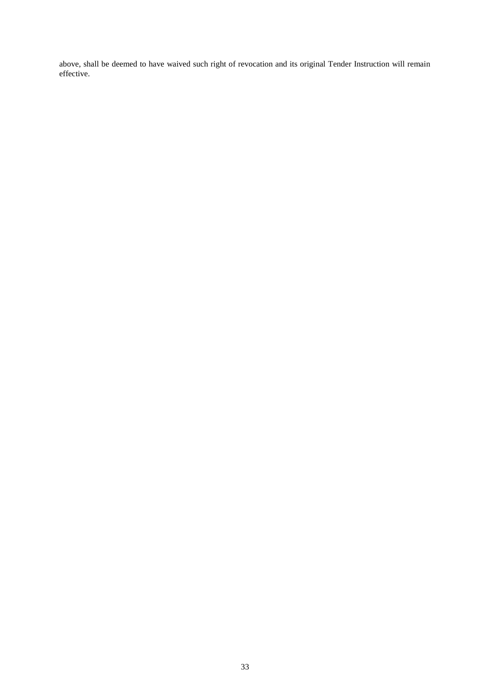above, shall be deemed to have waived such right of revocation and its original Tender Instruction will remain effective.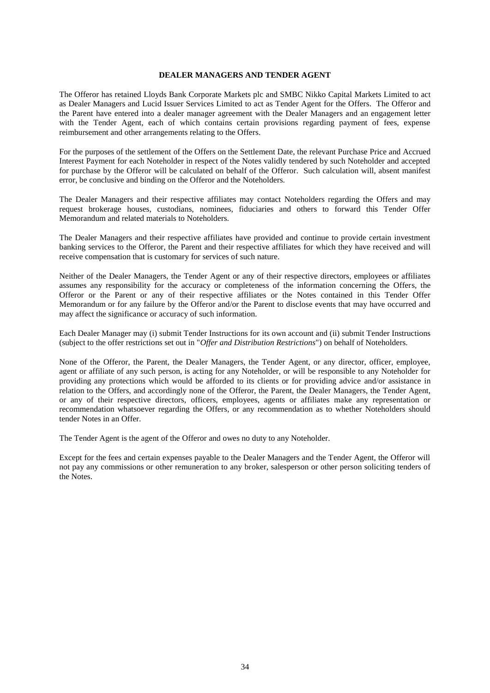## **DEALER MANAGERS AND TENDER AGENT**

The Offeror has retained Lloyds Bank Corporate Markets plc and SMBC Nikko Capital Markets Limited to act as Dealer Managers and Lucid Issuer Services Limited to act as Tender Agent for the Offers. The Offeror and the Parent have entered into a dealer manager agreement with the Dealer Managers and an engagement letter with the Tender Agent, each of which contains certain provisions regarding payment of fees, expense reimbursement and other arrangements relating to the Offers.

For the purposes of the settlement of the Offers on the Settlement Date, the relevant Purchase Price and Accrued Interest Payment for each Noteholder in respect of the Notes validly tendered by such Noteholder and accepted for purchase by the Offeror will be calculated on behalf of the Offeror. Such calculation will, absent manifest error, be conclusive and binding on the Offeror and the Noteholders.

The Dealer Managers and their respective affiliates may contact Noteholders regarding the Offers and may request brokerage houses, custodians, nominees, fiduciaries and others to forward this Tender Offer Memorandum and related materials to Noteholders.

The Dealer Managers and their respective affiliates have provided and continue to provide certain investment banking services to the Offeror, the Parent and their respective affiliates for which they have received and will receive compensation that is customary for services of such nature.

Neither of the Dealer Managers, the Tender Agent or any of their respective directors, employees or affiliates assumes any responsibility for the accuracy or completeness of the information concerning the Offers, the Offeror or the Parent or any of their respective affiliates or the Notes contained in this Tender Offer Memorandum or for any failure by the Offeror and/or the Parent to disclose events that may have occurred and may affect the significance or accuracy of such information.

Each Dealer Manager may (i) submit Tender Instructions for its own account and (ii) submit Tender Instructions (subject to the offer restrictions set out in "*Offer and Distribution Restrictions*") on behalf of Noteholders.

None of the Offeror, the Parent, the Dealer Managers, the Tender Agent, or any director, officer, employee, agent or affiliate of any such person, is acting for any Noteholder, or will be responsible to any Noteholder for providing any protections which would be afforded to its clients or for providing advice and/or assistance in relation to the Offers, and accordingly none of the Offeror, the Parent, the Dealer Managers, the Tender Agent, or any of their respective directors, officers, employees, agents or affiliates make any representation or recommendation whatsoever regarding the Offers, or any recommendation as to whether Noteholders should tender Notes in an Offer.

The Tender Agent is the agent of the Offeror and owes no duty to any Noteholder.

Except for the fees and certain expenses payable to the Dealer Managers and the Tender Agent, the Offeror will not pay any commissions or other remuneration to any broker, salesperson or other person soliciting tenders of the Notes.